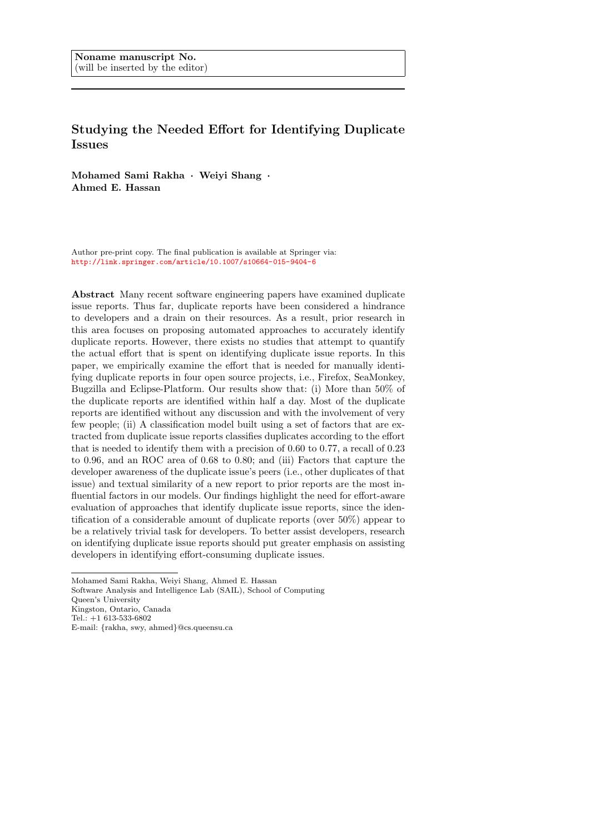# Studying the Needed Effort for Identifying Duplicate Issues

Mohamed Sami Rakha · Weiyi Shang · Ahmed E. Hassan

Author pre-print copy. The final publication is available at Springer via: <http://link.springer.com/article/10.1007/s10664-015-9404-6>

Abstract Many recent software engineering papers have examined duplicate issue reports. Thus far, duplicate reports have been considered a hindrance to developers and a drain on their resources. As a result, prior research in this area focuses on proposing automated approaches to accurately identify duplicate reports. However, there exists no studies that attempt to quantify the actual effort that is spent on identifying duplicate issue reports. In this paper, we empirically examine the effort that is needed for manually identifying duplicate reports in four open source projects, i.e., Firefox, SeaMonkey, Bugzilla and Eclipse-Platform. Our results show that: (i) More than 50% of the duplicate reports are identified within half a day. Most of the duplicate reports are identified without any discussion and with the involvement of very few people; (ii) A classification model built using a set of factors that are extracted from duplicate issue reports classifies duplicates according to the effort that is needed to identify them with a precision of 0.60 to 0.77, a recall of 0.23 to 0.96, and an ROC area of 0.68 to 0.80; and (iii) Factors that capture the developer awareness of the duplicate issue's peers (i.e., other duplicates of that issue) and textual similarity of a new report to prior reports are the most influential factors in our models. Our findings highlight the need for effort-aware evaluation of approaches that identify duplicate issue reports, since the identification of a considerable amount of duplicate reports (over 50%) appear to be a relatively trivial task for developers. To better assist developers, research on identifying duplicate issue reports should put greater emphasis on assisting developers in identifying effort-consuming duplicate issues.

Kingston, Ontario, Canada

Tel.: +1 613-533-6802

Mohamed Sami Rakha, Weiyi Shang, Ahmed E. Hassan

Software Analysis and Intelligence Lab (SAIL), School of Computing

Queen's University

E-mail: {rakha, swy, ahmed}@cs.queensu.ca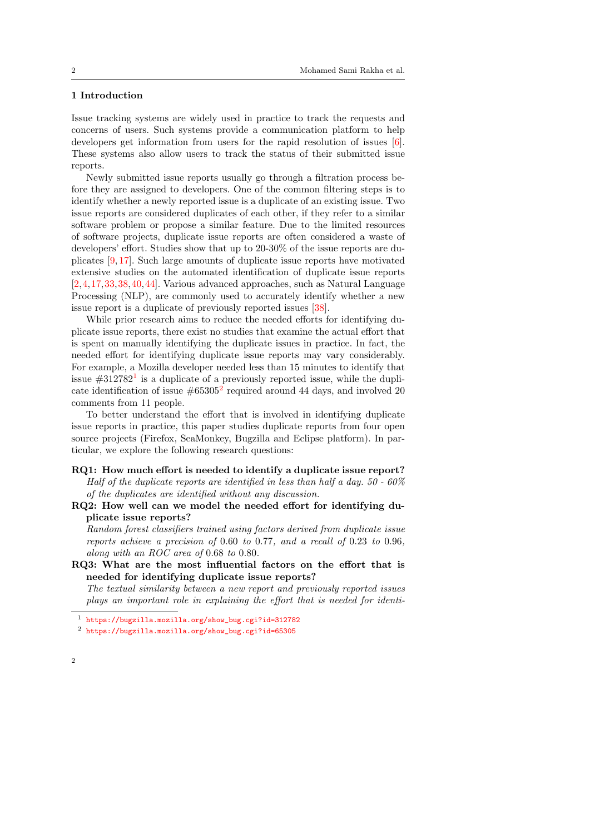## 1 Introduction

Issue tracking systems are widely used in practice to track the requests and concerns of users. Such systems provide a communication platform to help developers get information from users for the rapid resolution of issues [\[6\]](#page-24-0). These systems also allow users to track the status of their submitted issue reports.

Newly submitted issue reports usually go through a filtration process before they are assigned to developers. One of the common filtering steps is to identify whether a newly reported issue is a duplicate of an existing issue. Two issue reports are considered duplicates of each other, if they refer to a similar software problem or propose a similar feature. Due to the limited resources of software projects, duplicate issue reports are often considered a waste of developers' effort. Studies show that up to 20-30% of the issue reports are duplicates [\[9,](#page-25-0) [17\]](#page-25-1). Such large amounts of duplicate issue reports have motivated extensive studies on the automated identification of duplicate issue reports [\[2,](#page-24-1)[4,](#page-24-2)[17,](#page-25-1)[33,](#page-26-0)[38,](#page-26-1)[40,](#page-26-2)[44\]](#page-26-3). Various advanced approaches, such as Natural Language Processing (NLP), are commonly used to accurately identify whether a new issue report is a duplicate of previously reported issues [\[38\]](#page-26-1).

While prior research aims to reduce the needed efforts for identifying duplicate issue reports, there exist no studies that examine the actual effort that is spent on manually identifying the duplicate issues in practice. In fact, the needed effort for identifying duplicate issue reports may vary considerably. For example, a Mozilla developer needed less than 15 minutes to identify that issue  $\#312782^1$  $\#312782^1$  $\#312782^1$  is a duplicate of a previously reported issue, while the duplicate identification of issue  $\#65305^2$  $\#65305^2$  required around 44 days, and involved 20 comments from 11 people.

To better understand the effort that is involved in identifying duplicate issue reports in practice, this paper studies duplicate reports from four open source projects (Firefox, SeaMonkey, Bugzilla and Eclipse platform). In particular, we explore the following research questions:

- RQ1: How much effort is needed to identify a duplicate issue report? Half of the duplicate reports are identified in less than half a day.  $50$  -  $60\%$ of the duplicates are identified without any discussion.
- RQ2: How well can we model the needed effort for identifying duplicate issue reports?

Random forest classifiers trained using factors derived from duplicate issue reports achieve a precision of 0.60 to 0.77, and a recall of 0.23 to 0.96, along with an ROC area of 0.68 to 0.80.

RQ3: What are the most influential factors on the effort that is needed for identifying duplicate issue reports?

The textual similarity between a new report and previously reported issues plays an important role in explaining the effort that is needed for identi-

<span id="page-1-0"></span><sup>1</sup> [https://bugzilla.mozilla.org/show\\_bug.cgi?id=312782](https://bugzilla.mozilla.org/show_bug.cgi?id=312782)

<span id="page-1-1"></span><sup>2</sup> [https://bugzilla.mozilla.org/show\\_bug.cgi?id=65305](https://bugzilla.mozilla.org/show_bug.cgi?id=65305)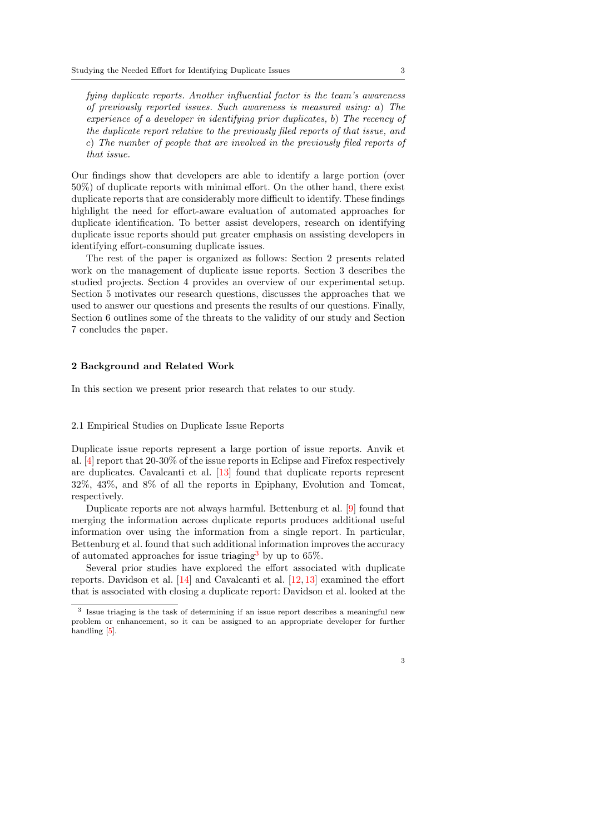fying duplicate reports. Another influential factor is the team's awareness of previously reported issues. Such awareness is measured using: a) The experience of a developer in identifying prior duplicates, b) The recency of the duplicate report relative to the previously filed reports of that issue, and c) The number of people that are involved in the previously filed reports of that issue.

Our findings show that developers are able to identify a large portion (over 50%) of duplicate reports with minimal effort. On the other hand, there exist duplicate reports that are considerably more difficult to identify. These findings highlight the need for effort-aware evaluation of automated approaches for duplicate identification. To better assist developers, research on identifying duplicate issue reports should put greater emphasis on assisting developers in identifying effort-consuming duplicate issues.

The rest of the paper is organized as follows: Section 2 presents related work on the management of duplicate issue reports. Section 3 describes the studied projects. Section 4 provides an overview of our experimental setup. Section 5 motivates our research questions, discusses the approaches that we used to answer our questions and presents the results of our questions. Finally, Section 6 outlines some of the threats to the validity of our study and Section 7 concludes the paper.

### 2 Background and Related Work

In this section we present prior research that relates to our study.

### 2.1 Empirical Studies on Duplicate Issue Reports

Duplicate issue reports represent a large portion of issue reports. Anvik et al. [\[4\]](#page-24-2) report that 20-30% of the issue reports in Eclipse and Firefox respectively are duplicates. Cavalcanti et al. [\[13\]](#page-25-2) found that duplicate reports represent 32%, 43%, and 8% of all the reports in Epiphany, Evolution and Tomcat, respectively.

Duplicate reports are not always harmful. Bettenburg et al. [\[9\]](#page-25-0) found that merging the information across duplicate reports produces additional useful information over using the information from a single report. In particular, Bettenburg et al. found that such additional information improves the accuracy of automated approaches for issue triaging[3](#page-2-0) by up to 65%.

Several prior studies have explored the effort associated with duplicate reports. Davidson et al. [\[14\]](#page-25-3) and Cavalcanti et al. [\[12,](#page-25-4) [13\]](#page-25-2) examined the effort that is associated with closing a duplicate report: Davidson et al. looked at the

3

<span id="page-2-0"></span><sup>3</sup> Issue triaging is the task of determining if an issue report describes a meaningful new problem or enhancement, so it can be assigned to an appropriate developer for further handling [\[5\]](#page-24-3).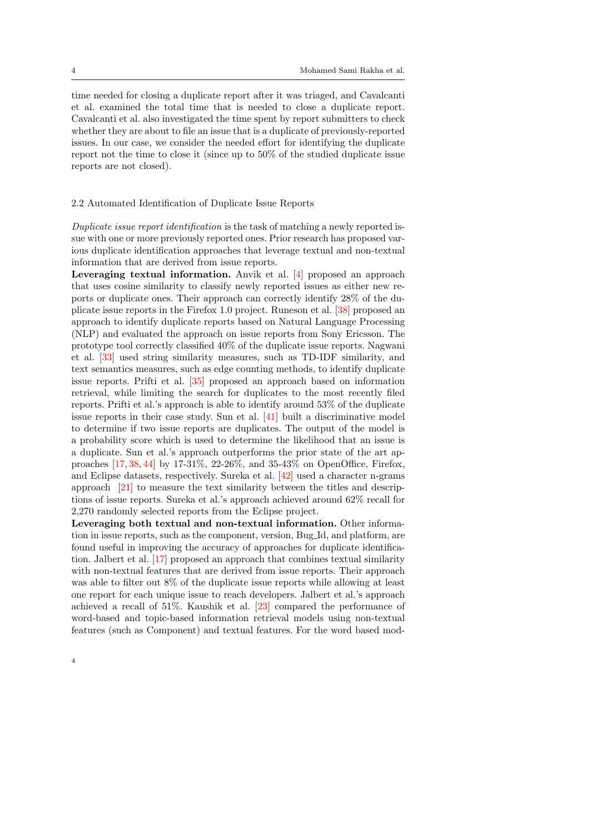time needed for closing a duplicate report after it was triaged, and Cavalcanti et al. examined the total time that is needed to close a duplicate report. Cavalcanti et al. also investigated the time spent by report submitters to check whether they are about to file an issue that is a duplicate of previously-reported issues. In our case, we consider the needed effort for identifying the duplicate report not the time to close it (since up to 50% of the studied duplicate issue reports are not closed).

#### 2.2 Automated Identification of Duplicate Issue Reports

Duplicate issue report identification is the task of matching a newly reported issue with one or more previously reported ones. Prior research has proposed various duplicate identification approaches that leverage textual and non-textual information that are derived from issue reports.

Leveraging textual information. Anvik et al.  $[4]$  proposed an approach that uses cosine similarity to classify newly reported issues as either new reports or duplicate ones. Their approach can correctly identify 28% of the duplicate issue reports in the Firefox 1.0 project. Runeson et al. [\[38\]](#page-26-1) proposed an approach to identify duplicate reports based on Natural Language Processing (NLP) and evaluated the approach on issue reports from Sony Ericsson. The prototype tool correctly classified 40% of the duplicate issue reports. Nagwani et al. [\[33\]](#page-26-0) used string similarity measures, such as TD-IDF similarity, and text semantics measures, such as edge counting methods, to identify duplicate issue reports. Prifti et al. [\[35\]](#page-26-4) proposed an approach based on information retrieval, while limiting the search for duplicates to the most recently filed reports. Prifti et al.'s approach is able to identify around 53% of the duplicate issue reports in their case study. Sun et al. [\[41\]](#page-26-5) built a discriminative model to determine if two issue reports are duplicates. The output of the model is a probability score which is used to determine the likelihood that an issue is a duplicate. Sun et al.'s approach outperforms the prior state of the art approaches [\[17,](#page-25-1) [38,](#page-26-1) [44\]](#page-26-3) by 17-31%, 22-26%, and 35-43% on OpenOffice, Firefox, and Eclipse datasets, respectively. Sureka et al. [\[42\]](#page-26-6) used a character n-grams approach [\[21\]](#page-25-5) to measure the text similarity between the titles and descriptions of issue reports. Sureka et al.'s approach achieved around 62% recall for 2,270 randomly selected reports from the Eclipse project.

Leveraging both textual and non-textual information. Other information in issue reports, such as the component, version, Bug Id, and platform, are found useful in improving the accuracy of approaches for duplicate identification. Jalbert et al. [\[17\]](#page-25-1) proposed an approach that combines textual similarity with non-textual features that are derived from issue reports. Their approach was able to filter out 8% of the duplicate issue reports while allowing at least one report for each unique issue to reach developers. Jalbert et al.'s approach achieved a recall of 51%. Kaushik et al. [\[23\]](#page-25-6) compared the performance of word-based and topic-based information retrieval models using non-textual features (such as Component) and textual features. For the word based mod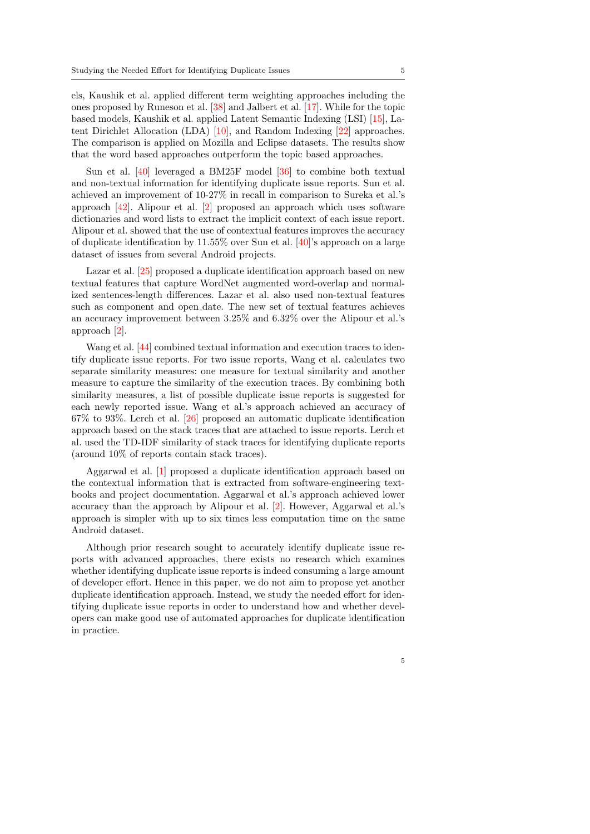els, Kaushik et al. applied different term weighting approaches including the ones proposed by Runeson et al. [\[38\]](#page-26-1) and Jalbert et al. [\[17\]](#page-25-1). While for the topic based models, Kaushik et al. applied Latent Semantic Indexing (LSI) [\[15\]](#page-25-7), Latent Dirichlet Allocation (LDA) [\[10\]](#page-25-8), and Random Indexing [\[22\]](#page-25-9) approaches. The comparison is applied on Mozilla and Eclipse datasets. The results show that the word based approaches outperform the topic based approaches.

Sun et al. [\[40\]](#page-26-2) leveraged a BM25F model [\[36\]](#page-26-7) to combine both textual and non-textual information for identifying duplicate issue reports. Sun et al. achieved an improvement of 10-27% in recall in comparison to Sureka et al.'s approach [\[42\]](#page-26-6). Alipour et al. [\[2\]](#page-24-1) proposed an approach which uses software dictionaries and word lists to extract the implicit context of each issue report. Alipour et al. showed that the use of contextual features improves the accuracy of duplicate identification by 11.55% over Sun et al. [\[40\]](#page-26-2)'s approach on a large dataset of issues from several Android projects.

Lazar et al. [\[25\]](#page-25-10) proposed a duplicate identification approach based on new textual features that capture WordNet augmented word-overlap and normalized sentences-length differences. Lazar et al. also used non-textual features such as component and open date. The new set of textual features achieves an accuracy improvement between 3.25% and 6.32% over the Alipour et al.'s approach [\[2\]](#page-24-1).

Wang et al. [\[44\]](#page-26-3) combined textual information and execution traces to identify duplicate issue reports. For two issue reports, Wang et al. calculates two separate similarity measures: one measure for textual similarity and another measure to capture the similarity of the execution traces. By combining both similarity measures, a list of possible duplicate issue reports is suggested for each newly reported issue. Wang et al.'s approach achieved an accuracy of 67% to 93%. Lerch et al. [\[26\]](#page-25-11) proposed an automatic duplicate identification approach based on the stack traces that are attached to issue reports. Lerch et al. used the TD-IDF similarity of stack traces for identifying duplicate reports (around 10% of reports contain stack traces).

Aggarwal et al. [\[1\]](#page-24-4) proposed a duplicate identification approach based on the contextual information that is extracted from software-engineering textbooks and project documentation. Aggarwal et al.'s approach achieved lower accuracy than the approach by Alipour et al. [\[2\]](#page-24-1). However, Aggarwal et al.'s approach is simpler with up to six times less computation time on the same Android dataset.

Although prior research sought to accurately identify duplicate issue reports with advanced approaches, there exists no research which examines whether identifying duplicate issue reports is indeed consuming a large amount of developer effort. Hence in this paper, we do not aim to propose yet another duplicate identification approach. Instead, we study the needed effort for identifying duplicate issue reports in order to understand how and whether developers can make good use of automated approaches for duplicate identification in practice.

5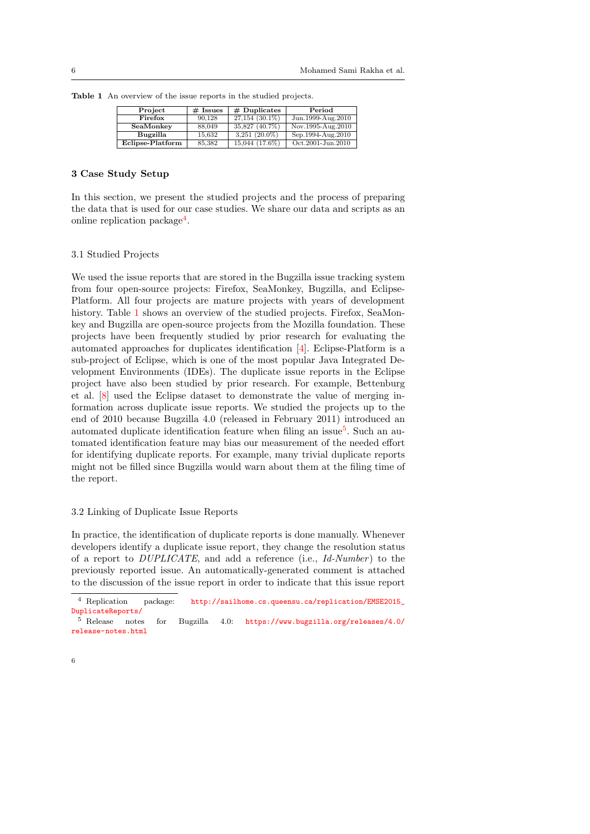<span id="page-5-1"></span>

| Project          | $#$ Issues | $#$ Duplicates      | Period            |
|------------------|------------|---------------------|-------------------|
| Firefox          | 90.128     | $27.154(30.1\%)$    | Jun.1999-Aug.2010 |
| SeaMonkey        | 88.049     | 35.827 (40.7%)      | Nov.1995-Aug.2010 |
| Bugzilla         | 15.632     | $3.251(20.0\%)$     | Sep.1994-Aug.2010 |
| Eclipse-Platform | 85.382     | $15,044$ $(17.6\%)$ | Oct.2001-Jun.2010 |

Table 1 An overview of the issue reports in the studied projects.

#### 3 Case Study Setup

In this section, we present the studied projects and the process of preparing the data that is used for our case studies. We share our data and scripts as an online replication package<sup>[4](#page-5-0)</sup>.

#### 3.1 Studied Projects

We used the issue reports that are stored in the Bugzilla issue tracking system from four open-source projects: Firefox, SeaMonkey, Bugzilla, and Eclipse-Platform. All four projects are mature projects with years of development history. Table [1](#page-5-1) shows an overview of the studied projects. Firefox, SeaMonkey and Bugzilla are open-source projects from the Mozilla foundation. These projects have been frequently studied by prior research for evaluating the automated approaches for duplicates identification [\[4\]](#page-24-2). Eclipse-Platform is a sub-project of Eclipse, which is one of the most popular Java Integrated Development Environments (IDEs). The duplicate issue reports in the Eclipse project have also been studied by prior research. For example, Bettenburg et al. [\[8\]](#page-25-12) used the Eclipse dataset to demonstrate the value of merging information across duplicate issue reports. We studied the projects up to the end of 2010 because Bugzilla 4.0 (released in February 2011) introduced an automated duplicate identification feature when filing an issue<sup>[5](#page-5-2)</sup>. Such an automated identification feature may bias our measurement of the needed effort for identifying duplicate reports. For example, many trivial duplicate reports might not be filled since Bugzilla would warn about them at the filing time of the report.

#### 3.2 Linking of Duplicate Issue Reports

In practice, the identification of duplicate reports is done manually. Whenever developers identify a duplicate issue report, they change the resolution status of a report to  $DUPLICATE$ , and add a reference (i.e.,  $Id$ -Number) to the previously reported issue. An automatically-generated comment is attached to the discussion of the issue report in order to indicate that this issue report

<span id="page-5-0"></span><sup>4</sup> Replication package: [http://sailhome.cs.queensu.ca/replication/EMSE2015\\_](http://sailhome.cs.queensu.ca/replication/EMSE2015_DuplicateReports/) [DuplicateReports/](http://sailhome.cs.queensu.ca/replication/EMSE2015_DuplicateReports/)<br>5 Release notes

<span id="page-5-2"></span>for Bugzilla 4.0: [https://www.bugzilla.org/releases/4.0/](https://www.bugzilla.org/releases/4.0/release-notes.html) [release-notes.html](https://www.bugzilla.org/releases/4.0/release-notes.html)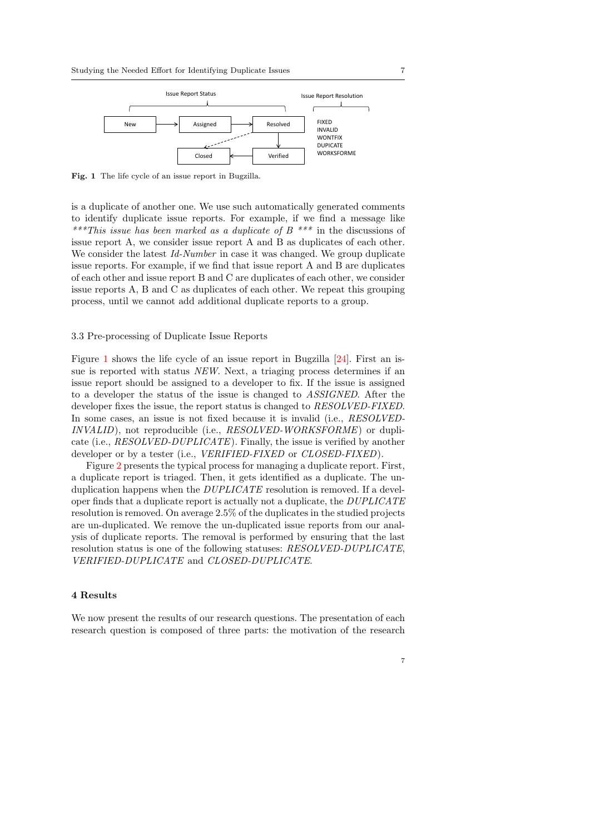

<span id="page-6-0"></span>Fig. 1 The life cycle of an issue report in Bugzilla.

is a duplicate of another one. We use such automatically generated comments to identify duplicate issue reports. For example, if we find a message like \*\*\*This issue has been marked as a duplicate of  $B$  \*\*\* in the discussions of issue report A, we consider issue report A and B as duplicates of each other. We consider the latest *Id-Number* in case it was changed. We group duplicate issue reports. For example, if we find that issue report A and B are duplicates of each other and issue report B and C are duplicates of each other, we consider issue reports A, B and C as duplicates of each other. We repeat this grouping process, until we cannot add additional duplicate reports to a group.

#### 3.3 Pre-processing of Duplicate Issue Reports

Figure [1](#page-6-0) shows the life cycle of an issue report in Bugzilla [\[24\]](#page-25-13). First an issue is reported with status NEW. Next, a triaging process determines if an issue report should be assigned to a developer to fix. If the issue is assigned to a developer the status of the issue is changed to ASSIGNED. After the developer fixes the issue, the report status is changed to RESOLVED-FIXED. In some cases, an issue is not fixed because it is invalid (i.e., RESOLVED-INVALID), not reproducible (i.e., RESOLVED-WORKSFORME) or duplicate (i.e., RESOLVED-DUPLICATE). Finally, the issue is verified by another developer or by a tester (i.e., *VERIFIED-FIXED* or *CLOSED-FIXED*).

Figure [2](#page-7-0) presents the typical process for managing a duplicate report. First, a duplicate report is triaged. Then, it gets identified as a duplicate. The unduplication happens when the DUPLICATE resolution is removed. If a developer finds that a duplicate report is actually not a duplicate, the DUPLICATE resolution is removed. On average 2.5% of the duplicates in the studied projects are un-duplicated. We remove the un-duplicated issue reports from our analysis of duplicate reports. The removal is performed by ensuring that the last resolution status is one of the following statuses: RESOLVED-DUPLICATE, VERIFIED-DUPLICATE and CLOSED-DUPLICATE.

#### 4 Results

We now present the results of our research questions. The presentation of each research question is composed of three parts: the motivation of the research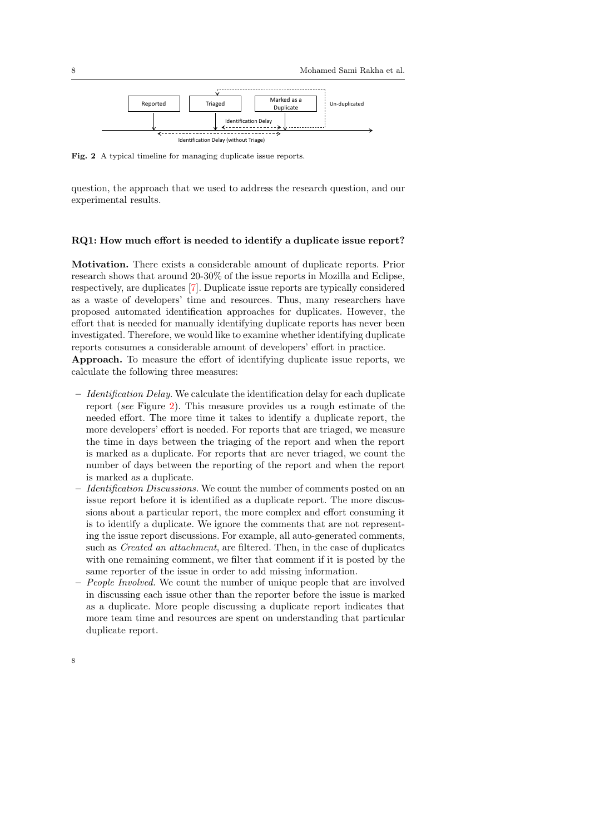

<span id="page-7-0"></span>Fig. 2 A typical timeline for managing duplicate issue reports.

question, the approach that we used to address the research question, and our experimental results.

#### RQ1: How much effort is needed to identify a duplicate issue report?

Motivation. There exists a considerable amount of duplicate reports. Prior research shows that around 20-30% of the issue reports in Mozilla and Eclipse, respectively, are duplicates [\[7\]](#page-24-5). Duplicate issue reports are typically considered as a waste of developers' time and resources. Thus, many researchers have proposed automated identification approaches for duplicates. However, the effort that is needed for manually identifying duplicate reports has never been investigated. Therefore, we would like to examine whether identifying duplicate reports consumes a considerable amount of developers' effort in practice.

Approach. To measure the effort of identifying duplicate issue reports, we calculate the following three measures:

- Identification Delay. We calculate the identification delay for each duplicate report (see Figure [2\)](#page-7-0). This measure provides us a rough estimate of the needed effort. The more time it takes to identify a duplicate report, the more developers' effort is needed. For reports that are triaged, we measure the time in days between the triaging of the report and when the report is marked as a duplicate. For reports that are never triaged, we count the number of days between the reporting of the report and when the report is marked as a duplicate.
- Identification Discussions. We count the number of comments posted on an issue report before it is identified as a duplicate report. The more discussions about a particular report, the more complex and effort consuming it is to identify a duplicate. We ignore the comments that are not representing the issue report discussions. For example, all auto-generated comments, such as Created an attachment, are filtered. Then, in the case of duplicates with one remaining comment, we filter that comment if it is posted by the same reporter of the issue in order to add missing information.
- People Involved. We count the number of unique people that are involved in discussing each issue other than the reporter before the issue is marked as a duplicate. More people discussing a duplicate report indicates that more team time and resources are spent on understanding that particular duplicate report.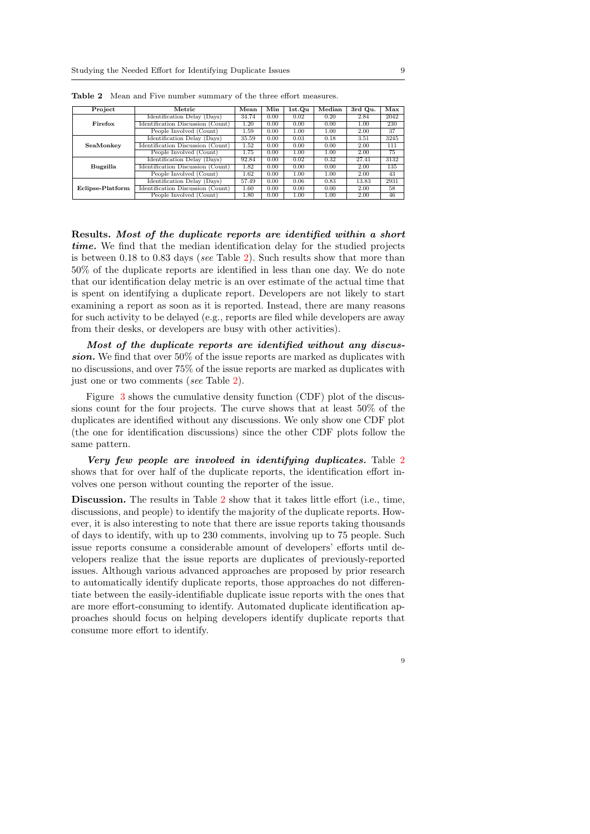| Project          | Metric                            | Mean  | Min  | 1st.Qu | Median | 3rd Qu. | Max             |
|------------------|-----------------------------------|-------|------|--------|--------|---------|-----------------|
|                  | Identification Delay (Days)       | 34.74 | 0.00 | 0.02   | 0.20   | 2.84    | 2042            |
| Firefox          | Identification Discussion (Count) | 1.20  | 0.00 | 0.00   | 0.00   | 1.00    | 230             |
|                  | People Involved (Count)           | 1.59  | 0.00 | 1.00   | 1.00   | 2.00    | 37              |
|                  | Identification Delay (Days)       | 35.59 | 0.00 | 0.03   | 0.18   | 3.51    | 3245            |
| SeaMonkey        | Identification Discussion (Count) | 1.52  | 0.00 | 0.00   | 0.00   | 2.00    | 111             |
|                  | People Involved (Count)           | 1.75  | 0.00 | 1.00   | 1.00   | 2.00    | $\overline{75}$ |
|                  | Identification Delay (Days)       | 92.84 | 0.00 | 0.02   | 0.32   | 27.41   | 3132            |
| Bugzilla         | Identification Discussion (Count) | 1.82  | 0.00 | 0.00   | 0.00   | 2.00    | 135             |
|                  | People Involved (Count)           | 1.62  | 0.00 | 1.00   | 1.00   | 2.00    | 43              |
|                  | Identification Delay (Days)       | 57.49 | 0.00 | 0.06   | 0.83   | 13.83   | 2931            |
| Eclipse-Platform | Identification Discussion (Count) | 1.60  | 0.00 | 0.00   | 0.00   | 2.00    | 58              |
|                  | People Involved (Count)           | 1.80  | 0.00 | 1.00   | 1.00   | 2.00    | 46              |

<span id="page-8-0"></span>Table 2 Mean and Five number summary of the three effort measures.

Results. Most of the duplicate reports are identified within a short time. We find that the median identification delay for the studied projects is between 0.18 to 0.83 days (see Table [2\)](#page-8-0). Such results show that more than 50% of the duplicate reports are identified in less than one day. We do note that our identification delay metric is an over estimate of the actual time that is spent on identifying a duplicate report. Developers are not likely to start examining a report as soon as it is reported. Instead, there are many reasons for such activity to be delayed (e.g., reports are filed while developers are away from their desks, or developers are busy with other activities).

Most of the duplicate reports are identified without any discussion. We find that over 50% of the issue reports are marked as duplicates with no discussions, and over 75% of the issue reports are marked as duplicates with just one or two comments (see Table [2\)](#page-8-0).

Figure [3](#page-9-0) shows the cumulative density function (CDF) plot of the discussions count for the four projects. The curve shows that at least 50% of the duplicates are identified without any discussions. We only show one CDF plot (the one for identification discussions) since the other CDF plots follow the same pattern.

Very few people are involved in identifying duplicates. Table [2](#page-8-0) shows that for over half of the duplicate reports, the identification effort involves one person without counting the reporter of the issue.

Discussion. The results in Table [2](#page-8-0) show that it takes little effort (i.e., time, discussions, and people) to identify the majority of the duplicate reports. However, it is also interesting to note that there are issue reports taking thousands of days to identify, with up to 230 comments, involving up to 75 people. Such issue reports consume a considerable amount of developers' efforts until developers realize that the issue reports are duplicates of previously-reported issues. Although various advanced approaches are proposed by prior research to automatically identify duplicate reports, those approaches do not differentiate between the easily-identifiable duplicate issue reports with the ones that are more effort-consuming to identify. Automated duplicate identification approaches should focus on helping developers identify duplicate reports that consume more effort to identify.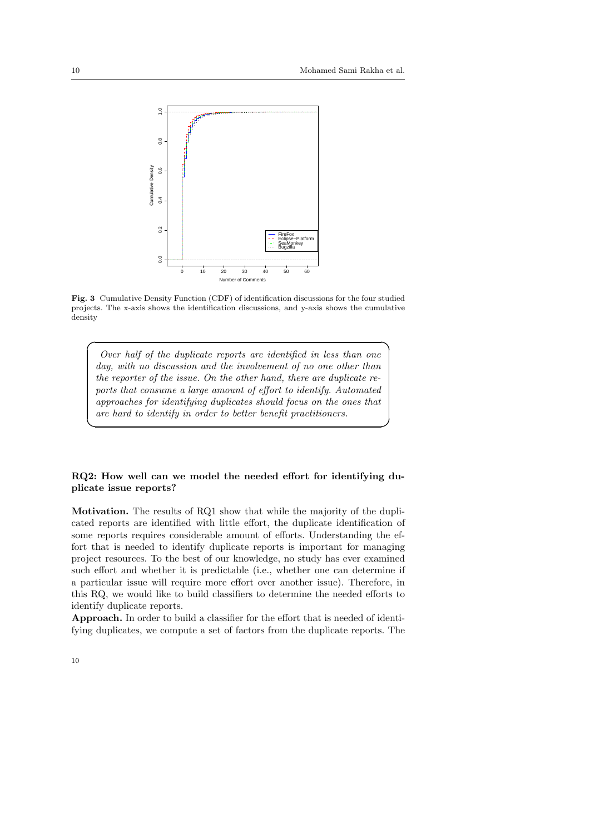

<span id="page-9-0"></span>Fig. 3 Cumulative Density Function (CDF) of identification discussions for the four studied projects. The x-axis shows the identification discussions, and y-axis shows the cumulative density

Over half of the duplicate reports are identified in less than one day, with no discussion and the involvement of no one other than the reporter of the issue. On the other hand, there are duplicate reports that consume a large amount of effort to identify. Automated approaches for identifying duplicates should focus on the ones that are hard to identify in order to better benefit practitioners.

## RQ2: How well can we model the needed effort for identifying duplicate issue reports?

Motivation. The results of RQ1 show that while the majority of the duplicated reports are identified with little effort, the duplicate identification of some reports requires considerable amount of efforts. Understanding the effort that is needed to identify duplicate reports is important for managing project resources. To the best of our knowledge, no study has ever examined such effort and whether it is predictable (i.e., whether one can determine if a particular issue will require more effort over another issue). Therefore, in this RQ, we would like to build classifiers to determine the needed efforts to identify duplicate reports.

Approach. In order to build a classifier for the effort that is needed of identifying duplicates, we compute a set of factors from the duplicate reports. The

 $\overline{$ 

✍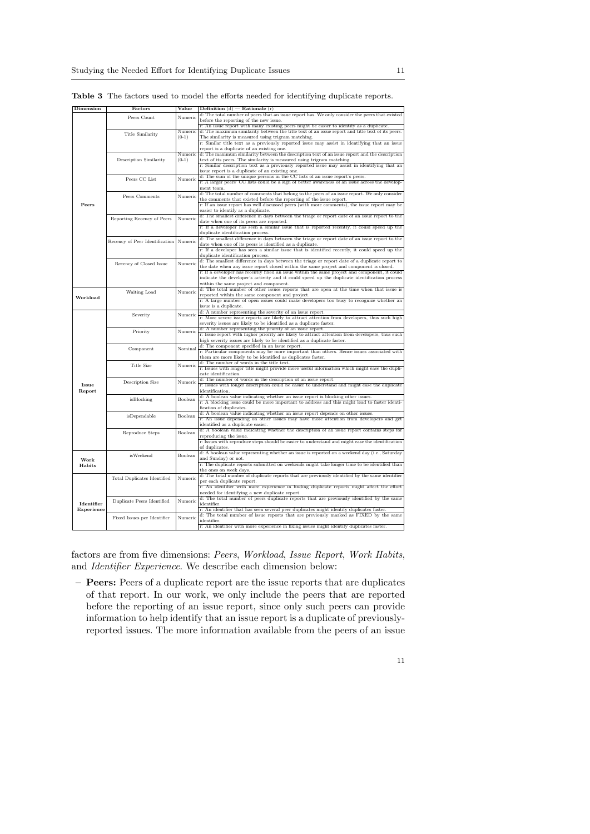<span id="page-10-0"></span>

| <b>Dimension</b> | Factors                        | Value   | Definition $(d)$ - Rationale $(r)$                                                                                                                                                            |
|------------------|--------------------------------|---------|-----------------------------------------------------------------------------------------------------------------------------------------------------------------------------------------------|
|                  | Peers Count                    |         | d: The total number of peers that an issue report has. We only consider the peers that existed                                                                                                |
|                  |                                | Numeric | before the reporting of the new issue.                                                                                                                                                        |
|                  |                                |         | r: An issue report with many existing peers might be easier to identify as a duplicate.                                                                                                       |
|                  | Title Similarity               | Numeric | d: The maximum similarity between the title text of an issue report and title text of its peers.                                                                                              |
|                  |                                | $(0-1)$ | The similarity is measured using trigram matching.                                                                                                                                            |
|                  |                                |         | r: Similar title text as a previously reported issue may assist in identifying that an issue                                                                                                  |
|                  |                                | Numeric | report is a duplicate of an existing one.<br>d: The maximum similarity between the description text of an issue report and the description                                                    |
|                  | Description Similarity         | $(0-1)$ | text of its peers. The similarity is measured using trigram matching.                                                                                                                         |
|                  |                                |         | r: Similar description text as a previously reported issue may assist in identifying that an                                                                                                  |
|                  |                                |         | issue report is a duplicate of an existing one.                                                                                                                                               |
|                  |                                |         | d: The sum of the unique persons in the CC lists of an issue report's peers.                                                                                                                  |
|                  | Peers CC List                  | Numeric | r: A larger peers' CC lists could be a sign of better awareness of an issue across the develop-                                                                                               |
|                  |                                |         | $\quad$ ment team.                                                                                                                                                                            |
|                  | Peers Comments                 | Numeric | d: The total number of comments that belong to the peers of an issue report. We only consider                                                                                                 |
|                  |                                |         | the comments that existed before the reporting of the issue report.                                                                                                                           |
| Peers            |                                |         | r: If an issue report has well discussed peers (with more comments), the issue report may be                                                                                                  |
|                  |                                |         | easier to identify as a duplicate.<br>d: The smallest difference in days between the triage or report date of an issue report to the                                                          |
|                  | Reporting Recency of Peers     | Numeric | date when one of its peers are reported.                                                                                                                                                      |
|                  |                                |         | r: If a developer has seen a similar issue that is reported recently, it could speed up the                                                                                                   |
|                  |                                |         | duplicate identification process.                                                                                                                                                             |
|                  |                                |         | d: The smallest difference in days between the triage or report date of an issue report to the                                                                                                |
|                  | Recency of Peer Identification | Numeric | date when one of its peers is identified as a duplicate.                                                                                                                                      |
|                  |                                |         | r: If a developer has seen a similar issue that is identified recently, it could speed up the                                                                                                 |
|                  |                                |         | duplicate identification process.                                                                                                                                                             |
|                  | Recency of Closed Issue        | Numeric | d: The smallest difference in days between the triage or report date of a duplicate report to                                                                                                 |
|                  |                                |         | the date when any issue report closed within the same project and component is closed.                                                                                                        |
|                  |                                |         | r: If a developer has recently fixed an issue within the same project and component, it could<br>indicate the developer's activity and it could speed up the duplicate identification process |
|                  |                                |         | within the same project and component.                                                                                                                                                        |
|                  |                                |         | d: The total number of other issues reports that are open at the time when that issue is                                                                                                      |
| Workload         | Waiting Load                   | Numeric | reported within the same component and project.                                                                                                                                               |
|                  |                                |         | r: A large number of open issues could make developers too busy to recognize whether an                                                                                                       |
|                  |                                |         | issue is a duplicate.                                                                                                                                                                         |
|                  | Severity                       | Numeric | d: A number representing the severity of an issue report.                                                                                                                                     |
|                  |                                |         | r: More severe issue reports are likely to attract attention from developers, thus such high<br>severity issues are likely to be identified as a duplicate faster.                            |
|                  |                                |         | d: A number representing the priority of an issue report.                                                                                                                                     |
|                  | Priority                       | Numeric | r: Issue report with higher priority are likely to attract attention from developers, thus such                                                                                               |
|                  |                                |         | high severity issues are likely to be identified as a duplicate faster.                                                                                                                       |
|                  | Component                      | Nominal | d: The component specified in an issue report.                                                                                                                                                |
|                  |                                |         | r: Particular components may be more important than others. Hence issues associated with                                                                                                      |
|                  |                                |         | them are more likely to be identified as duplicates faster.                                                                                                                                   |
|                  | <b>Title Size</b>              | Numeric | d: The number of words in the title text.<br>r: Issues with longer title might provide more useful information which might ease the dupli-                                                    |
|                  |                                |         | cate identification.                                                                                                                                                                          |
|                  |                                |         | d: The number of words in the description of an issue report.                                                                                                                                 |
| Issue            | Description Size               | Numeric | r: Issues with longer description could be easier to understand and might ease the duplicate                                                                                                  |
| Report           |                                |         | identification.                                                                                                                                                                               |
|                  | isBlocking                     | Boolean | d: A boolean value indicating whether an issue report is blocking other issues.                                                                                                               |
|                  |                                |         | r: A blocking issue could be more important to address and this might lead to faster identi-                                                                                                  |
|                  |                                |         | fication of duplicates.<br>d: A boolean value indicating whether an issue report depends on other issues                                                                                      |
|                  | isDependable                   | Boolean | r: An issue depending on other issues may have more attention from developers and get                                                                                                         |
|                  |                                |         | identified as a duplicate easier.                                                                                                                                                             |
|                  | Reproduce Steps                | Boolean | d: A boolean value indicating whether the description of an issue report contains steps for                                                                                                   |
|                  |                                |         | reproducing the issue.                                                                                                                                                                        |
|                  |                                |         | r: Issues with reproduce steps should be easier to understand and might ease the identification                                                                                               |
|                  |                                |         | of duplicates.<br>d: A boolean value representing whether an issue is reported on a weekend day (i.e., Saturday                                                                               |
| Work             | isWeekend                      | Boolean | and Sunday) or not.                                                                                                                                                                           |
| Habits           |                                |         | r: The duplicate reports submitted on weekends might take longer time to be identified than                                                                                                   |
|                  |                                |         | the ones on week days.                                                                                                                                                                        |
|                  | Total Duplicates Identified    | Numeric | d: The total number of duplicate reports that are previously identified by the same identifier                                                                                                |
|                  |                                |         | per each duplicate report.                                                                                                                                                                    |
|                  |                                |         | r: An identifier with more experience in finding duplicate reports might affect the effort                                                                                                    |
|                  |                                |         | needed for identifying a new duplicate report.<br>d: The total number of peers duplicate reports that are previously identified by the same                                                   |
| Identifier       | Duplicate Peers Identified     | Numeric | identifier.                                                                                                                                                                                   |
| Experience       |                                |         | r: An identifier that has seen several peer duplicates might identify duplicates faster.                                                                                                      |
|                  | Fixed Issues per Identifier    | Numeric | d: The total number of issue reports that are previously marked as FIXED by the same                                                                                                          |
|                  |                                |         | identifier.                                                                                                                                                                                   |
|                  |                                |         | r: An identifier with more experience in fixing issues might identify duplicates faster.                                                                                                      |

Table 3 The factors used to model the efforts needed for identifying duplicate reports.

factors are from five dimensions: Peers, Workload, Issue Report, Work Habits, and Identifier Experience. We describe each dimension below:

– Peers: Peers of a duplicate report are the issue reports that are duplicates of that report. In our work, we only include the peers that are reported before the reporting of an issue report, since only such peers can provide information to help identify that an issue report is a duplicate of previouslyreported issues. The more information available from the peers of an issue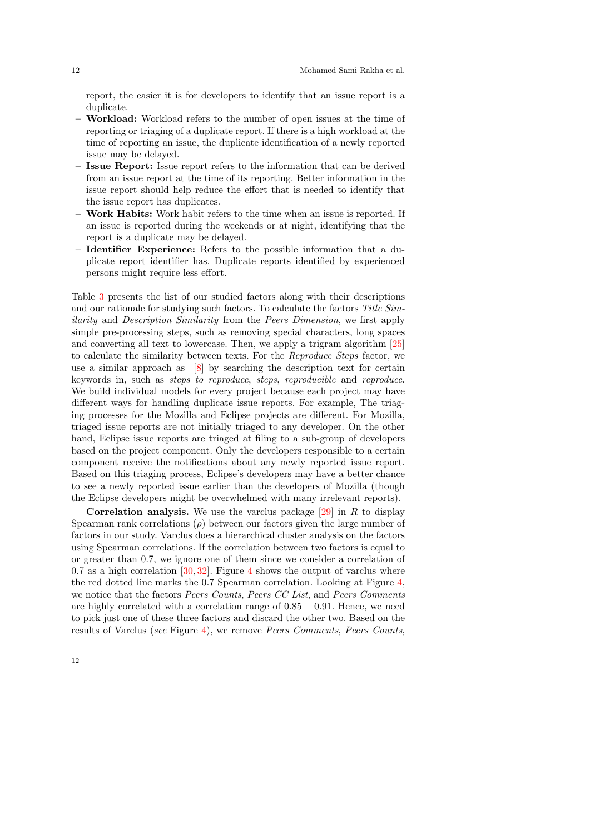report, the easier it is for developers to identify that an issue report is a duplicate.

- Workload: Workload refers to the number of open issues at the time of reporting or triaging of a duplicate report. If there is a high workload at the time of reporting an issue, the duplicate identification of a newly reported issue may be delayed.
- **Issue Report:** Issue report refers to the information that can be derived from an issue report at the time of its reporting. Better information in the issue report should help reduce the effort that is needed to identify that the issue report has duplicates.
- Work Habits: Work habit refers to the time when an issue is reported. If an issue is reported during the weekends or at night, identifying that the report is a duplicate may be delayed.
- Identifier Experience: Refers to the possible information that a duplicate report identifier has. Duplicate reports identified by experienced persons might require less effort.

Table [3](#page-10-0) presents the list of our studied factors along with their descriptions and our rationale for studying such factors. To calculate the factors Title Similarity and Description Similarity from the Peers Dimension, we first apply simple pre-processing steps, such as removing special characters, long spaces and converting all text to lowercase. Then, we apply a trigram algorithm [\[25\]](#page-25-10) to calculate the similarity between texts. For the Reproduce Steps factor, we use a similar approach as [\[8\]](#page-25-12) by searching the description text for certain keywords in, such as steps to reproduce, steps, reproducible and reproduce. We build individual models for every project because each project may have different ways for handling duplicate issue reports. For example, The triaging processes for the Mozilla and Eclipse projects are different. For Mozilla, triaged issue reports are not initially triaged to any developer. On the other hand, Eclipse issue reports are triaged at filing to a sub-group of developers based on the project component. Only the developers responsible to a certain component receive the notifications about any newly reported issue report. Based on this triaging process, Eclipse's developers may have a better chance to see a newly reported issue earlier than the developers of Mozilla (though the Eclipse developers might be overwhelmed with many irrelevant reports).

**Correlation analysis.** We use the varclus package  $[29]$  in R to display Spearman rank correlations  $(\rho)$  between our factors given the large number of factors in our study. Varclus does a hierarchical cluster analysis on the factors using Spearman correlations. If the correlation between two factors is equal to or greater than 0.7, we ignore one of them since we consider a correlation of  $0.7$  as a high correlation  $\left[30, 32\right]$  $\left[30, 32\right]$  $\left[30, 32\right]$ . Figure [4](#page-12-0) shows the output of varclus where the red dotted line marks the 0.7 Spearman correlation. Looking at Figure [4,](#page-12-0) we notice that the factors *Peers Counts*, *Peers CC List*, and *Peers Comments* are highly correlated with a correlation range of  $0.85 - 0.91$ . Hence, we need to pick just one of these three factors and discard the other two. Based on the results of Varclus (see Figure [4\)](#page-12-0), we remove Peers Comments, Peers Counts,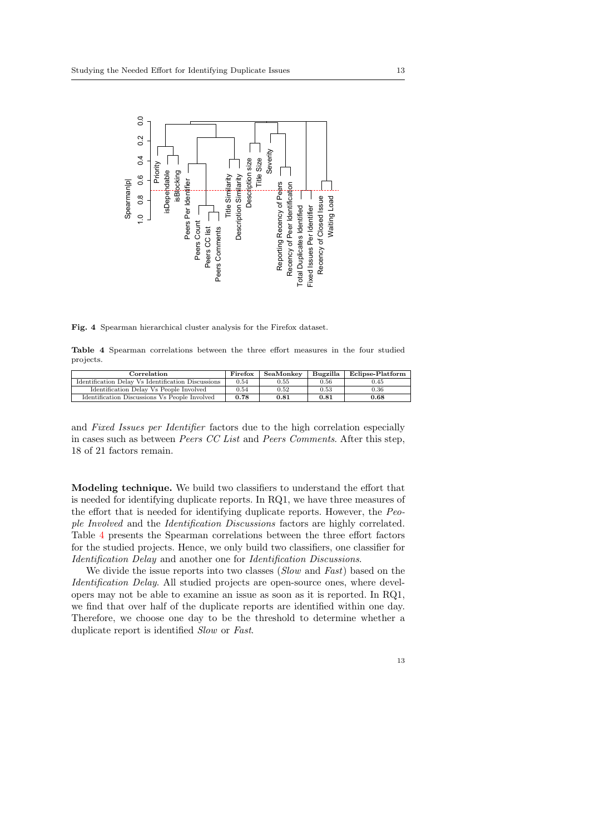

<span id="page-12-0"></span>Fig. 4 Spearman hierarchical cluster analysis for the Firefox dataset.

<span id="page-12-1"></span>Table 4 Spearman correlations between the three effort measures in the four studied projects.

| Correlation                                        | Firefox | SeaMonkey | Bugzilla | Eclipse-Platform |
|----------------------------------------------------|---------|-----------|----------|------------------|
| Identification Delay Vs Identification Discussions | 0.54    | 0.55      | 0.56     | 0.45             |
| Identification Delay Vs People Involved            | 0.54    | 0.52      | 0.53     | 0.36             |
| Identification Discussions Vs People Involved      | 0.78    | 0.81      | 0.81     | 0.68             |

and Fixed Issues per Identifier factors due to the high correlation especially in cases such as between Peers CC List and Peers Comments. After this step, 18 of 21 factors remain.

Modeling technique. We build two classifiers to understand the effort that is needed for identifying duplicate reports. In RQ1, we have three measures of the effort that is needed for identifying duplicate reports. However, the People Involved and the Identification Discussions factors are highly correlated. Table [4](#page-12-1) presents the Spearman correlations between the three effort factors for the studied projects. Hence, we only build two classifiers, one classifier for Identification Delay and another one for Identification Discussions.

We divide the issue reports into two classes (Slow and Fast) based on the Identification Delay. All studied projects are open-source ones, where developers may not be able to examine an issue as soon as it is reported. In RQ1, we find that over half of the duplicate reports are identified within one day. Therefore, we choose one day to be the threshold to determine whether a duplicate report is identified Slow or Fast.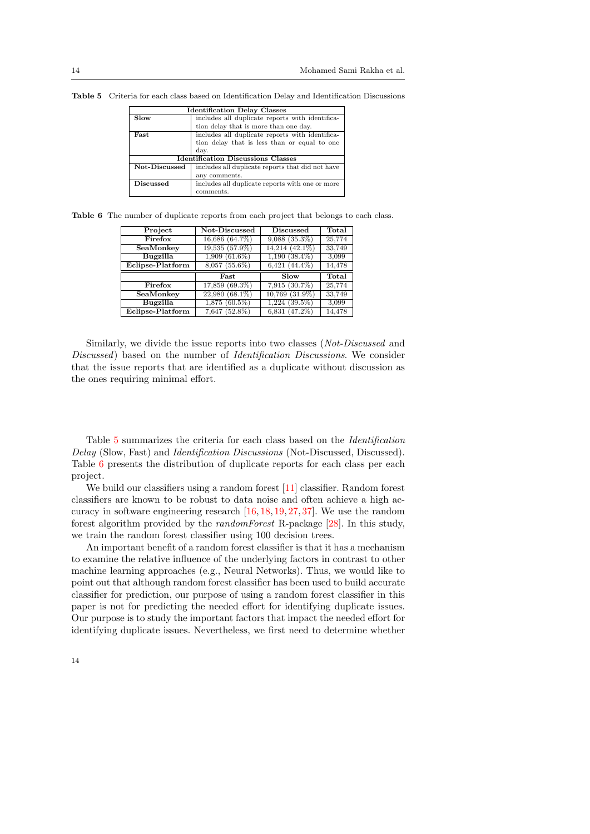<span id="page-13-0"></span>

|                  | <b>Identification Delay Classes</b>              |
|------------------|--------------------------------------------------|
| Slow             | includes all duplicate reports with identifica-  |
|                  | tion delay that is more than one day.            |
| <b>Fast</b>      | includes all duplicate reports with identifica-  |
|                  | tion delay that is less than or equal to one     |
|                  | day.                                             |
|                  | <b>Identification Discussions Classes</b>        |
| Not-Discussed    | includes all duplicate reports that did not have |
|                  | any comments.                                    |
| <b>Discussed</b> | includes all duplicate reports with one or more  |
|                  | comments.                                        |

Table 5 Criteria for each class based on Identification Delay and Identification Discussions

Table 6 The number of duplicate reports from each project that belongs to each class.

<span id="page-13-1"></span>

| Project          | Not-Discussed   | <b>Discussed</b>    | Total  |
|------------------|-----------------|---------------------|--------|
| Firefox          | 16,686 (64.7%)  | $9,088$ $(35.3\%)$  | 25,774 |
| SeaMonkey        | 19,535 (57.9%)  | 14,214 (42.1%)      | 33,749 |
| <b>Bugzilla</b>  | $1,909(61.6\%)$ | $1.190(38.4\%)$     | 3,099  |
| Eclipse-Platform | $8,057$ (55.6%) | $6,421$ $(44.4\%)$  | 14,478 |
|                  |                 |                     |        |
|                  | Fast            | Slow                | Total  |
| Firefox          | 17,859 (69.3%)  | $7,915(30.7\%)$     | 25,774 |
| SeaMonkey        | 22,980 (68.1%)  | $10,769$ $(31.9\%)$ | 33,749 |
| <b>Bugzilla</b>  | $1,875(60.5\%)$ | $1,224$ (39.5%)     | 3,099  |

Similarly, we divide the issue reports into two classes (Not-Discussed and Discussed) based on the number of Identification Discussions. We consider that the issue reports that are identified as a duplicate without discussion as the ones requiring minimal effort.

Table [5](#page-13-0) summarizes the criteria for each class based on the Identification Delay (Slow, Fast) and Identification Discussions (Not-Discussed, Discussed). Table [6](#page-13-1) presents the distribution of duplicate reports for each class per each project.

We build our classifiers using a random forest [\[11\]](#page-25-14) classifier. Random forest classifiers are known to be robust to data noise and often achieve a high accuracy in software engineering research [\[16,](#page-25-15) [18,](#page-25-16) [19,](#page-25-17) [27,](#page-26-11) [37\]](#page-26-12). We use the random forest algorithm provided by the randomForest R-package [\[28\]](#page-26-13). In this study, we train the random forest classifier using 100 decision trees.

An important benefit of a random forest classifier is that it has a mechanism to examine the relative influence of the underlying factors in contrast to other machine learning approaches (e.g., Neural Networks). Thus, we would like to point out that although random forest classifier has been used to build accurate classifier for prediction, our purpose of using a random forest classifier in this paper is not for predicting the needed effort for identifying duplicate issues. Our purpose is to study the important factors that impact the needed effort for identifying duplicate issues. Nevertheless, we first need to determine whether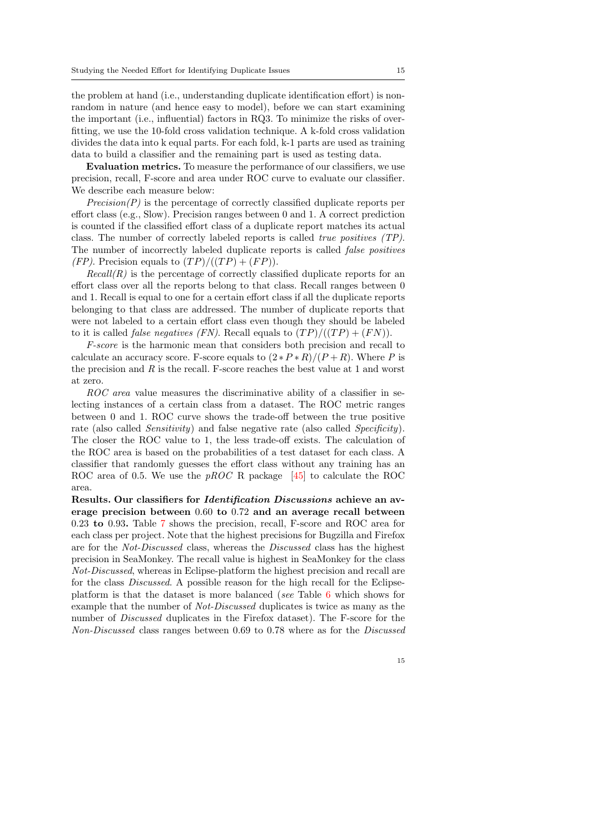the problem at hand (i.e., understanding duplicate identification effort) is nonrandom in nature (and hence easy to model), before we can start examining the important (i.e., influential) factors in RQ3. To minimize the risks of overfitting, we use the 10-fold cross validation technique. A k-fold cross validation divides the data into k equal parts. For each fold, k-1 parts are used as training data to build a classifier and the remaining part is used as testing data.

Evaluation metrics. To measure the performance of our classifiers, we use precision, recall, F-score and area under ROC curve to evaluate our classifier. We describe each measure below:

 $Precision(P)$  is the percentage of correctly classified duplicate reports per effort class (e.g., Slow). Precision ranges between 0 and 1. A correct prediction is counted if the classified effort class of a duplicate report matches its actual class. The number of correctly labeled reports is called true positives (TP). The number of incorrectly labeled duplicate reports is called false positives (FP). Precision equals to  $(TP)/((TP) + (FP)).$ 

 $Recall(R)$  is the percentage of correctly classified duplicate reports for an effort class over all the reports belong to that class. Recall ranges between 0 and 1. Recall is equal to one for a certain effort class if all the duplicate reports belonging to that class are addressed. The number of duplicate reports that were not labeled to a certain effort class even though they should be labeled to it is called *false negatives (FN)*. Recall equals to  $(TP)/((TP) + (FN))$ .

F-score is the harmonic mean that considers both precision and recall to calculate an accuracy score. F-score equals to  $(2 * P * R)/(P + R)$ . Where P is the precision and  $R$  is the recall. F-score reaches the best value at 1 and worst at zero.

ROC area value measures the discriminative ability of a classifier in selecting instances of a certain class from a dataset. The ROC metric ranges between 0 and 1. ROC curve shows the trade-off between the true positive rate (also called *Sensitivity*) and false negative rate (also called *Specificity*). The closer the ROC value to 1, the less trade-off exists. The calculation of the ROC area is based on the probabilities of a test dataset for each class. A classifier that randomly guesses the effort class without any training has an ROC area of 0.5. We use the  $pROC \R$  package [\[45\]](#page-26-14) to calculate the ROC area.

Results. Our classifiers for Identification Discussions achieve an average precision between 0.60 to 0.72 and an average recall between 0.23 to 0.93. Table [7](#page-15-0) shows the precision, recall, F-score and ROC area for each class per project. Note that the highest precisions for Bugzilla and Firefox are for the Not-Discussed class, whereas the Discussed class has the highest precision in SeaMonkey. The recall value is highest in SeaMonkey for the class Not-Discussed, whereas in Eclipse-platform the highest precision and recall are for the class Discussed. A possible reason for the high recall for the Eclipseplatform is that the dataset is more balanced (see Table [6](#page-13-1) which shows for example that the number of Not-Discussed duplicates is twice as many as the number of Discussed duplicates in the Firefox dataset). The F-score for the Non-Discussed class ranges between 0.69 to 0.78 where as for the Discussed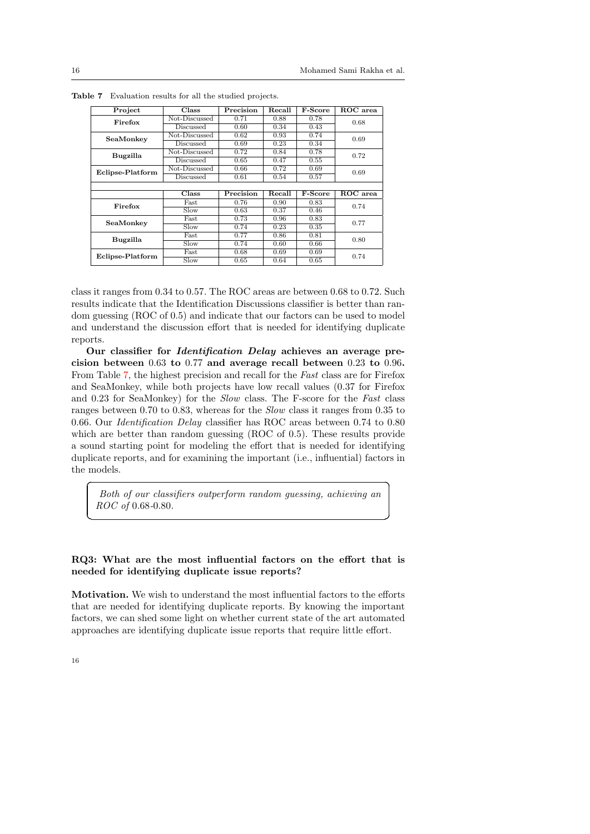$\mathbf{a}$ 

✆

<span id="page-15-0"></span>

| Project                          | <b>Class</b>  | Precision | Recall | F-Score | $\overline{ROC}$ area |
|----------------------------------|---------------|-----------|--------|---------|-----------------------|
| Firefox                          | Not-Discussed | 0.71      | 0.88   | 0.78    | 0.68                  |
|                                  | Discussed     | 0.60      | 0.34   | 0.43    |                       |
| SeaMonkey                        | Not-Discussed | 0.62      | 0.93   | 0.74    | 0.69                  |
|                                  | Discussed     | 0.69      | 0.23   | 0.34    |                       |
| <b>Bugzilla</b>                  | Not-Discussed | 0.72      | 0.84   | 0.78    | 0.72                  |
|                                  | Discussed     | 0.65      | 0.47   | 0.55    |                       |
| Eclipse-Platform                 | Not-Discussed | 0.66      | 0.72   | 0.69    | 0.69                  |
|                                  | Discussed     | 0.61      | 0.54   | 0.57    |                       |
|                                  |               |           |        |         |                       |
|                                  | Class         | Precision | Recall | F-Score | ROC area              |
| Firefox                          | Fast          | 0.76      | 0.90   | 0.83    | 0.74                  |
|                                  | Slow          | 0.63      | 0.37   | 0.46    |                       |
| SeaMonkey                        | Fast          | 0.73      | 0.96   | 0.83    | 0.77                  |
|                                  | Slow          | 0.74      | 0.23   | 0.35    |                       |
| Bugzilla                         | Fast          | 0.77      | 0.86   | 0.81    | 0.80                  |
|                                  | Slow          | 0.74      | 0.60   | 0.66    |                       |
| $\bf{E}$ clipse- $\bf{Platform}$ | Fast          | 0.68      | 0.69   | 0.69    | 0.74                  |
|                                  | Slow          | 0.65      | 0.64   | 0.65    |                       |

Table 7 Evaluation results for all the studied projects.

class it ranges from 0.34 to 0.57. The ROC areas are between 0.68 to 0.72. Such results indicate that the Identification Discussions classifier is better than random guessing (ROC of 0.5) and indicate that our factors can be used to model and understand the discussion effort that is needed for identifying duplicate reports.

Our classifier for Identification Delay achieves an average precision between 0.63 to 0.77 and average recall between 0.23 to 0.96. From Table [7,](#page-15-0) the highest precision and recall for the Fast class are for Firefox and SeaMonkey, while both projects have low recall values (0.37 for Firefox and 0.23 for SeaMonkey) for the Slow class. The F-score for the Fast class ranges between 0.70 to 0.83, whereas for the Slow class it ranges from 0.35 to 0.66. Our Identification Delay classifier has ROC areas between 0.74 to 0.80 which are better than random guessing (ROC of 0.5). These results provide a sound starting point for modeling the effort that is needed for identifying duplicate reports, and for examining the important (i.e., influential) factors in the models.

Both of our classifiers outperform random guessing, achieving an ROC of 0.68-0.80.

## RQ3: What are the most influential factors on the effort that is needed for identifying duplicate issue reports?

Motivation. We wish to understand the most influential factors to the efforts that are needed for identifying duplicate reports. By knowing the important factors, we can shed some light on whether current state of the art automated approaches are identifying duplicate issue reports that require little effort.

 $\overline{a}$ 

✝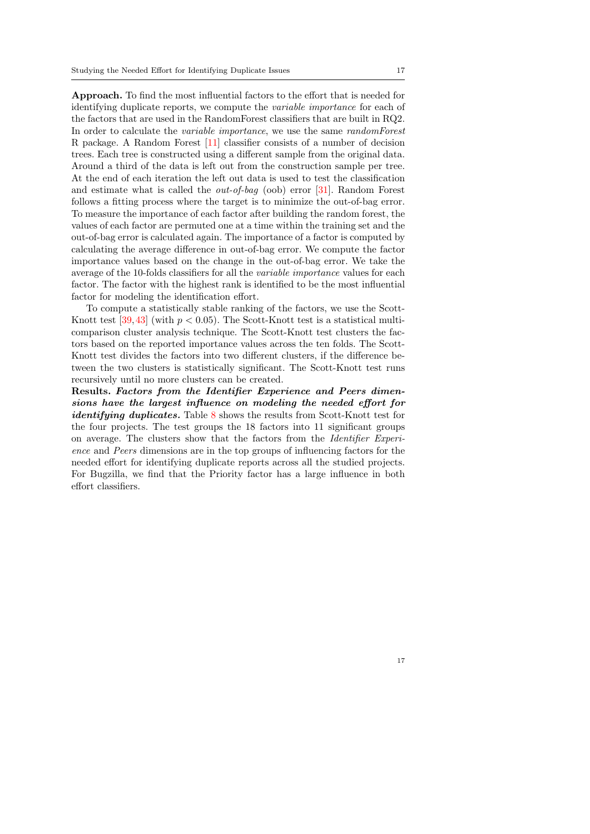Approach. To find the most influential factors to the effort that is needed for identifying duplicate reports, we compute the variable importance for each of the factors that are used in the RandomForest classifiers that are built in RQ2. In order to calculate the *variable importance*, we use the same *randomForest* R package. A Random Forest [\[11\]](#page-25-14) classifier consists of a number of decision trees. Each tree is constructed using a different sample from the original data. Around a third of the data is left out from the construction sample per tree. At the end of each iteration the left out data is used to test the classification and estimate what is called the *out-of-bag* (oob) error  $[31]$ . Random Forest follows a fitting process where the target is to minimize the out-of-bag error. To measure the importance of each factor after building the random forest, the values of each factor are permuted one at a time within the training set and the out-of-bag error is calculated again. The importance of a factor is computed by calculating the average difference in out-of-bag error. We compute the factor importance values based on the change in the out-of-bag error. We take the average of the 10-folds classifiers for all the variable importance values for each factor. The factor with the highest rank is identified to be the most influential factor for modeling the identification effort.

To compute a statistically stable ranking of the factors, we use the Scott-Knott test  $[39, 43]$  $[39, 43]$  $[39, 43]$  (with  $p < 0.05$ ). The Scott-Knott test is a statistical multicomparison cluster analysis technique. The Scott-Knott test clusters the factors based on the reported importance values across the ten folds. The Scott-Knott test divides the factors into two different clusters, if the difference between the two clusters is statistically significant. The Scott-Knott test runs recursively until no more clusters can be created.

Results. Factors from the Identifier Experience and Peers dimensions have the largest influence on modeling the needed effort for identifying duplicates. Table [8](#page-17-0) shows the results from Scott-Knott test for the four projects. The test groups the 18 factors into 11 significant groups on average. The clusters show that the factors from the Identifier Experience and Peers dimensions are in the top groups of influencing factors for the needed effort for identifying duplicate reports across all the studied projects. For Bugzilla, we find that the Priority factor has a large influence in both effort classifiers.

17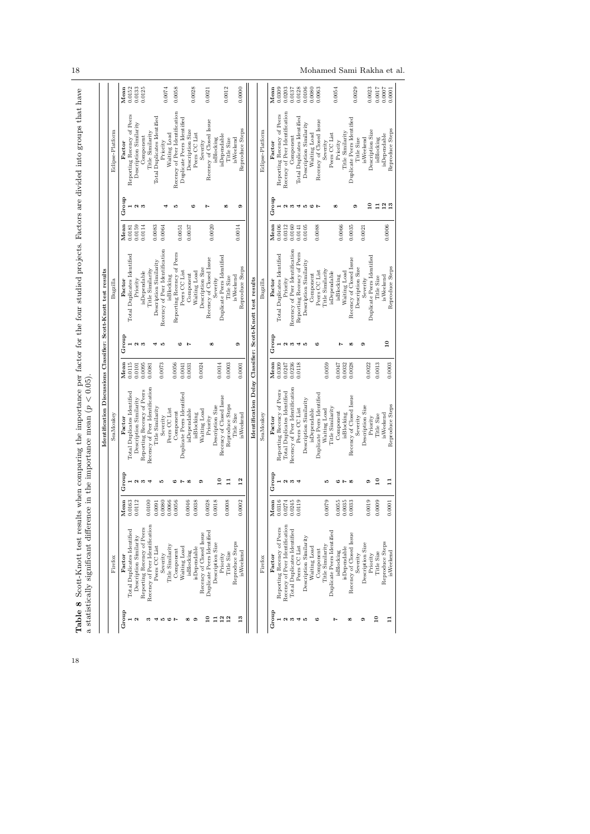| ١                                                            |                              |
|--------------------------------------------------------------|------------------------------|
| į                                                            |                              |
|                                                              |                              |
| $\ddot{ }$<br>5                                              |                              |
| J                                                            |                              |
|                                                              |                              |
|                                                              |                              |
|                                                              |                              |
|                                                              |                              |
| İ                                                            |                              |
| ֦֦֦֪ׅ֪֪֪֚֚֚֚֚֚֚֚֚֚֚֚֡֝֝֝֜֜֜֜֜֜֝֜֜֝֜֝֬֝֜֝֝֝<br>֧֧֪֪֪֪֛֛֛֚֚֝֝֝ |                              |
| I                                                            |                              |
| 0.1040                                                       |                              |
|                                                              |                              |
| í<br>J                                                       |                              |
| $\sim$                                                       |                              |
| $+0.111$                                                     |                              |
|                                                              |                              |
| $\frac{1}{2}$<br>.<br>۽                                      |                              |
| ١                                                            |                              |
|                                                              |                              |
|                                                              |                              |
|                                                              | l<br>l                       |
| b                                                            |                              |
|                                                              | ì<br>ļ                       |
| h n 1300 m o 131                                             | きょうこう こうしょう<br>C 200 C 200 T |
| $\frac{1}{2}$                                                | į                            |
| i<br>S<br>l<br>$\frac{1}{4}$                                 | C and C                      |
| ľ                                                            |                              |
|                                                              |                              |
|                                                              | utterence in the             |
| יאי ⊃+ווים<br>ì                                              |                              |
| mer                                                          |                              |
| ï<br>ì<br>i<br>ï                                             |                              |
|                                                              | $\frac{1}{2}$                |
|                                                              |                              |
|                                                              | l                            |
|                                                              | ֕<br>j                       |
|                                                              |                              |
| Į<br>ł                                                       |                              |
| ı                                                            |                              |

18

|                   | Table 8 Scott-Knott test results when comparing the importance per factor for the four studied projects. Factors are divided into groups that have<br>a statistically significant difference in the importance mean $(p < 0.05)$ |                  |                    |                                                                 |                  |                 |                                              |        |                |                                          |                      |
|-------------------|----------------------------------------------------------------------------------------------------------------------------------------------------------------------------------------------------------------------------------|------------------|--------------------|-----------------------------------------------------------------|------------------|-----------------|----------------------------------------------|--------|----------------|------------------------------------------|----------------------|
|                   |                                                                                                                                                                                                                                  |                  |                    | Identification Discussions Classifier: Scott-Knott test results |                  |                 |                                              |        |                |                                          |                      |
|                   | Firefox                                                                                                                                                                                                                          |                  |                    | SeaMonkey                                                       |                  |                 | Bugzilla                                     |        |                | Eclipse-Platform                         |                      |
| Group             | Factor                                                                                                                                                                                                                           | Mean             | Group              | Factor                                                          | Mean             | Group           | Factor                                       | Mean   | Group          | Factor                                   | Mean                 |
|                   | <b>Total Duplicates Identified</b>                                                                                                                                                                                               | 0.0163           |                    | Total Duplicates Identified                                     | 0.0115           |                 | Total Duplicates Identified                  | 0.0181 |                | Reporting Recency of Peers               | 0.0152               |
| $\mathbf{\Omega}$ | Description Similarity                                                                                                                                                                                                           | 0.0112           | $\overline{2}$     | Description Similarity                                          | 0.0101           | Z               | Priority                                     | 0.0159 | 125            | Description Similarity                   | 0.0133               |
| ∞                 | Reporting Recency of Peers                                                                                                                                                                                                       |                  | s                  | Reporting Recency of Peers                                      | 0.0095           | s               | isDependable                                 | 0.0114 |                | Component                                | 0.0125               |
|                   | Recency of Peer Identification                                                                                                                                                                                                   | 0.0100           |                    | Recency of Peer Identification                                  | 0.0081           |                 | Title Similarity                             |        |                | Title Similarity                         |                      |
| ₩                 | Peers CC List                                                                                                                                                                                                                    | 0.0091           | r.                 | Title Similarity                                                | 0.0073           | n.<br>₩         | Description Similarity                       | 0.0083 |                | Total Duplicates Identified              |                      |
| N.<br>$\circ$     | Title Similarity<br>Severity                                                                                                                                                                                                     | 0.0080<br>0.0066 |                    | Peers CC List<br>Severity                                       |                  |                 | Recency of Peer Identification<br>isBlocking | 0.0064 |                | Waiting Load<br>Priority                 | 0.0074               |
| r                 | Component                                                                                                                                                                                                                        | 0.0056           |                    | Component                                                       | 0.0056           |                 | Peers<br>Reporting Recency of                |        | ۱C             | Recency of Peer Identification           | 0.0058               |
|                   | Waiting Load                                                                                                                                                                                                                     |                  |                    | Duplicate Peers Identified                                      | 0.0041           | co              | Peers CC List                                | 0.0051 |                | Duplicate Peers Identified               |                      |
| ${}^{\circ}$      | isBlocking                                                                                                                                                                                                                       | 0.0046           | œ                  | isDependable                                                    | 0.0031           |                 | Component                                    | 0.0037 | œ              | Description Size                         | 0.0028               |
| G.                | Recency of Closed Issue<br>isDependable                                                                                                                                                                                          | 0.0038           |                    | isBlocking                                                      | 0.0024           |                 | Description Size<br>Waiting Load             |        |                | Peers CC List                            |                      |
| $\Xi$             | Duplicate Peers Identified                                                                                                                                                                                                       | 0.0028           |                    | Waiting Load<br>Priority                                        |                  |                 | Recency of Closed Issue                      |        |                | Recency of Closed Issue<br>Severity      | 0.0021               |
| 급                 | Description Size                                                                                                                                                                                                                 | 0.0018           |                    | Description Size                                                |                  | œ               | Severity                                     | 0.0020 |                | isBlocking                               |                      |
| $\frac{12}{12}$   | Priority                                                                                                                                                                                                                         |                  | $\overline{10}$    | Recency of Closed Issue                                         | 0.0014           |                 | Duplicate Peers Identified                   |        |                | isDependable                             |                      |
|                   | Title Size                                                                                                                                                                                                                       | 0.0008           | Ξ                  | Reproduce Steps                                                 | 0.0003           |                 | Title Size                                   |        | œ              | Title Size                               | 0.0012               |
| $\overline{13}$   | Reproduce Steps<br>isWeekend                                                                                                                                                                                                     | 0.0002           | 12                 | Title Size<br>isWeekend                                         | 0.0001           | $\circ$         | Reproduce Steps<br>isWeekend                 | 0.0014 | c.             | Reproduce Steps<br>isWeekend             | 0.0000               |
|                   |                                                                                                                                                                                                                                  |                  |                    | Identification Delay Classifier: Scott-Knott test results       |                  |                 |                                              |        |                |                                          |                      |
|                   | Firefox                                                                                                                                                                                                                          |                  |                    | SeaMonkey                                                       |                  |                 | Bugzilla                                     |        |                | Eclipse-Platform                         |                      |
| Group             | Factor                                                                                                                                                                                                                           | Mean             | Group              | Factor                                                          | Mean             | Group           | Factor                                       | Mean   | Group          | Factor                                   | Mean                 |
|                   | Reporting Recency of Peers                                                                                                                                                                                                       | 0.0316           |                    | Reporting Recency of Peers                                      | 0.0309           |                 | Total Duplicates Identified                  | 0.0406 |                | Reporting Recency of Peers               | 0.0309               |
| $\sim$            | Recency of Peer Identification                                                                                                                                                                                                   | 0.0274           |                    | Total Duplicates Identified                                     | 0.0247           | $\sim$ $\sim$   | Priority                                     | 0.0312 |                | Recency of Peer Identification           | 0.0203               |
|                   | <b>Total Duplicates Identified</b>                                                                                                                                                                                               | 0.0245           | $\overline{1}$ and | Recency of Peer Identification                                  | 0.0236           |                 | Recency of Peer Identification               | 0.0160 | <b>⊣ ៧ ଈ ଐ</b> | Component                                | 0.0137               |
| ₩                 | Peers CC List                                                                                                                                                                                                                    | 0.0119           |                    | Peers CC List                                                   | 0.0118           | 4.7             | Reporting Recency of Peers                   | 0.0141 |                | <b>Total Duplicates Identified</b>       | 0.0128               |
| ю                 | Description Similarity                                                                                                                                                                                                           |                  |                    | Description Similarity                                          |                  |                 | Description Similarity                       | 0.0105 |                | Description Similarity                   | 0.0106               |
| c                 | Waiting Load<br>Component                                                                                                                                                                                                        |                  |                    | Duplicate Peers Identified<br>isDependable                      |                  | c               | Peers CC List<br>Component                   | 0.0088 | ۱۵ رو ۲        | Recency of Closed Issue<br>Waiting Load  | 0.0080<br>0.0063     |
|                   | Title Similarity                                                                                                                                                                                                                 | 0.0079           |                    | Waiting Load                                                    | 0.0059           |                 | Title Similarity                             |        |                | Severity                                 |                      |
| r                 | Duplicate Peers Identified                                                                                                                                                                                                       |                  |                    | Title Similarity                                                |                  |                 | isDependable                                 |        | œ              | Peers CC List                            | 0.0054               |
|                   | isBlocking                                                                                                                                                                                                                       | 0.0055           | ఴ                  | Component                                                       | 0.0047           |                 | isBlocking                                   | 0.0066 |                | Priority                                 |                      |
| œ                 | isDependable                                                                                                                                                                                                                     | 0.0035           | $\sim \infty$      | Recency of Closed Issue<br>isBlocking                           | 0.0032<br>0.0028 | œ               | Waiting Load                                 |        |                | Title Similarity                         |                      |
|                   | Recency of Closed Issue<br>Severity                                                                                                                                                                                              | 0.0033           |                    | Severity                                                        |                  |                 | Recency of Closed Issue<br>Description Size  | 0.0035 | Φ              | Duplicate Peers Identified<br>Title Size | 0.0029               |
| ¢                 | Description Size                                                                                                                                                                                                                 |                  |                    | Description Size                                                |                  |                 | Severity                                     | 0.0021 |                | isWeekend                                |                      |
|                   | Priority                                                                                                                                                                                                                         | 0.0019           | ¢                  | Priority                                                        | 0.0022           |                 | Duplicate Peers Identified                   |        | $\mathsf{D}$   | Description Size                         | 0.0023               |
| $\overline{10}$   | Title Size                                                                                                                                                                                                                       | 0.0009           | $\mathsf{a}$       | Title Size                                                      | 0.0013           |                 | Title Size                                   |        | Ξ              | isBlocking                               | 0.0017               |
| Η                 | Reproduce Steps<br>isWeekend                                                                                                                                                                                                     | 0.0001           | Н                  | Reproduce Steps<br>isWeekend                                    | 0.0003           | $\overline{10}$ | isWeekend                                    | 0.0006 | $\frac{2}{13}$ | Reproduce Steps<br>isDependable          | $0.0007$<br>$0.0001$ |
|                   |                                                                                                                                                                                                                                  |                  |                    |                                                                 |                  |                 | Reproduce Steps                              |        |                |                                          |                      |

<span id="page-17-0"></span>18 Mohamed Sami Rakha et al.

isWeekend 0.0001 11 Reproduce Steps 0.0003 1<br>Reproduce Steps 13 Reproduce Steps 0.0003 1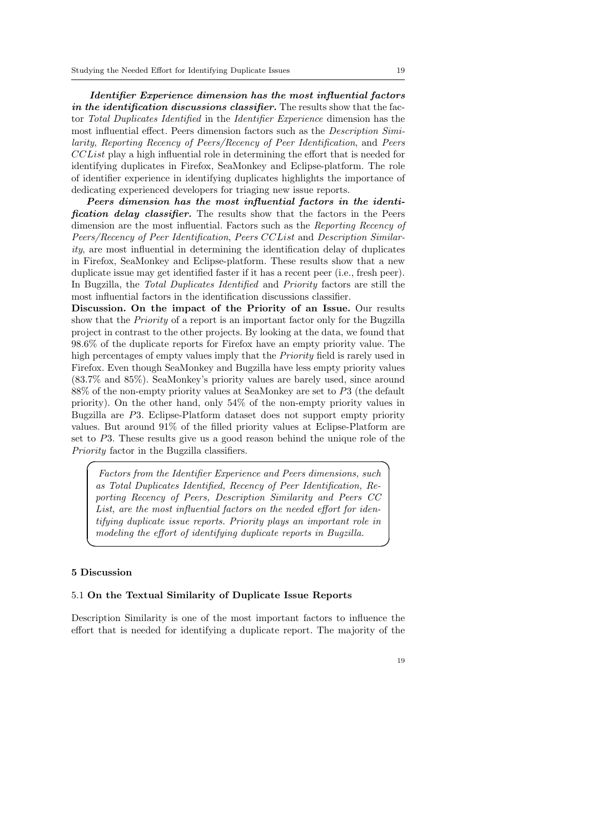Identifier Experience dimension has the most influential factors in the identification discussions classifier. The results show that the factor Total Duplicates Identified in the Identifier Experience dimension has the most influential effect. Peers dimension factors such as the Description Similarity, Reporting Recency of Peers/Recency of Peer Identification, and Peers CCList play a high influential role in determining the effort that is needed for identifying duplicates in Firefox, SeaMonkey and Eclipse-platform. The role of identifier experience in identifying duplicates highlights the importance of dedicating experienced developers for triaging new issue reports.

Peers dimension has the most influential factors in the identification delay classifier. The results show that the factors in the Peers dimension are the most influential. Factors such as the Reporting Recency of Peers/Recency of Peer Identification, Peers CCList and Description Similarity, are most influential in determining the identification delay of duplicates in Firefox, SeaMonkey and Eclipse-platform. These results show that a new duplicate issue may get identified faster if it has a recent peer (i.e., fresh peer). In Bugzilla, the Total Duplicates Identified and Priority factors are still the most influential factors in the identification discussions classifier.

Discussion. On the impact of the Priority of an Issue. Our results show that the *Priority* of a report is an important factor only for the Bugzilla project in contrast to the other projects. By looking at the data, we found that 98.6% of the duplicate reports for Firefox have an empty priority value. The high percentages of empty values imply that the *Priority* field is rarely used in Firefox. Even though SeaMonkey and Bugzilla have less empty priority values (83.7% and 85%). SeaMonkey's priority values are barely used, since around 88% of the non-empty priority values at SeaMonkey are set to P3 (the default priority). On the other hand, only 54% of the non-empty priority values in Bugzilla are P3. Eclipse-Platform dataset does not support empty priority values. But around 91% of the filled priority values at Eclipse-Platform are set to P3. These results give us a good reason behind the unique role of the Priority factor in the Bugzilla classifiers.

Factors from the Identifier Experience and Peers dimensions, such as Total Duplicates Identified, Recency of Peer Identification, Reporting Recency of Peers, Description Similarity and Peers CC List, are the most influential factors on the needed effort for identifying duplicate issue reports. Priority plays an important role in modeling the effort of identifying duplicate reports in Bugzilla.

## 5 Discussion

✍

 $\overline{$ 

### 5.1 On the Textual Similarity of Duplicate Issue Reports

Description Similarity is one of the most important factors to influence the effort that is needed for identifying a duplicate report. The majority of the

☞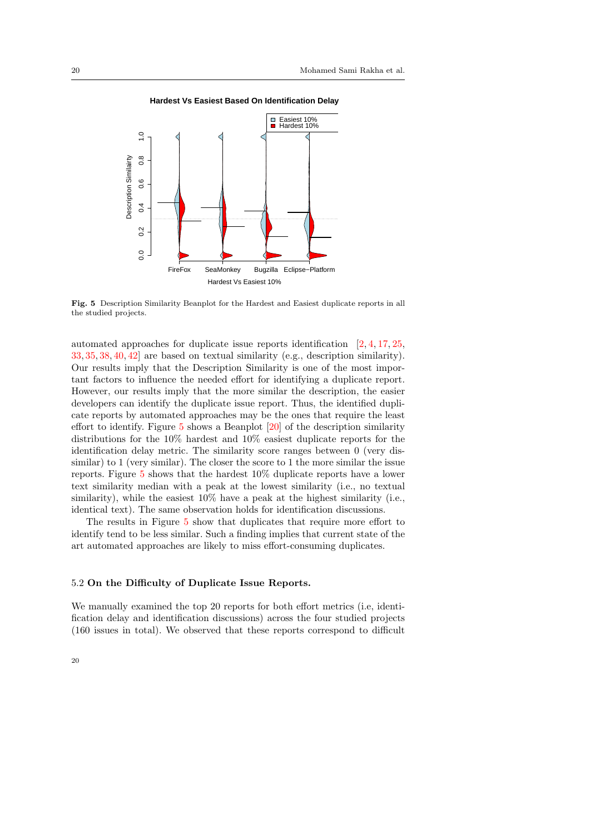

**Hardest Vs Easiest Based On Identification Delay**

<span id="page-19-0"></span>Fig. 5 Description Similarity Beanplot for the Hardest and Easiest duplicate reports in all the studied projects.

automated approaches for duplicate issue reports identification  $[2, 4, 17, 25,$  $[2, 4, 17, 25,$  $[2, 4, 17, 25,$  $[2, 4, 17, 25,$  $[2, 4, 17, 25,$  $[2, 4, 17, 25,$  $[2, 4, 17, 25,$ [33,](#page-26-0) [35,](#page-26-4) [38,](#page-26-1) [40,](#page-26-2) [42\]](#page-26-6) are based on textual similarity (e.g., description similarity). Our results imply that the Description Similarity is one of the most important factors to influence the needed effort for identifying a duplicate report. However, our results imply that the more similar the description, the easier developers can identify the duplicate issue report. Thus, the identified duplicate reports by automated approaches may be the ones that require the least effort to identify. Figure  $5$  shows a Beanplot  $[20]$  of the description similarity distributions for the 10% hardest and 10% easiest duplicate reports for the identification delay metric. The similarity score ranges between 0 (very dissimilar) to 1 (very similar). The closer the score to 1 the more similar the issue reports. Figure [5](#page-19-0) shows that the hardest 10% duplicate reports have a lower text similarity median with a peak at the lowest similarity (i.e., no textual similarity), while the easiest  $10\%$  have a peak at the highest similarity (i.e., identical text). The same observation holds for identification discussions.

The results in Figure [5](#page-19-0) show that duplicates that require more effort to identify tend to be less similar. Such a finding implies that current state of the art automated approaches are likely to miss effort-consuming duplicates.

#### 5.2 On the Difficulty of Duplicate Issue Reports.

We manually examined the top 20 reports for both effort metrics (i.e, identification delay and identification discussions) across the four studied projects (160 issues in total). We observed that these reports correspond to difficult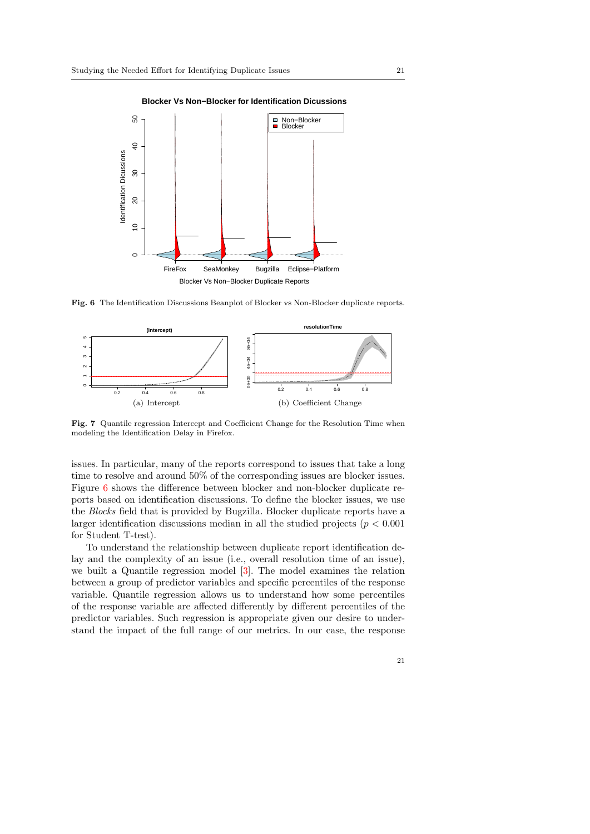

**Blocker Vs Non−Blocker for Identification Dicussions**

<span id="page-20-0"></span>Fig. 6 The Identification Discussions Beanplot of Blocker vs Non-Blocker duplicate reports. 0



<span id="page-20-1"></span>{<br>d<br>∪ Fig. 7 Quantile regression Intercept and Coefficient Change for the Resolution Time when modeling the Identification Delay in Firefox.

issues. In particular, many of the reports correspond to issues that take a long time to resolve and around 50% of the corresponding issues are blocker issues. Figure [6](#page-20-0) shows the difference between blocker and non-blocker duplicate reports based on identification discussions. To define the blocker issues, we use the Blocks field that is provided by Bugzilla. Blocker duplicate reports have a larger identification discussions median in all the studied projects ( $p < 0.001$ ) for Student T-test).

To understand the relationship between duplicate report identification delay and the complexity of an issue (i.e., overall resolution time of an issue), we built a Quantile regression model [\[3\]](#page-24-6). The model examines the relation between a group of predictor variables and specific percentiles of the response variable. Quantile regression allows us to understand how some percentiles of the response variable are affected differently by different percentiles of the predictor variables. Such regression is appropriate given our desire to understand the impact of the full range of our metrics. In our case, the response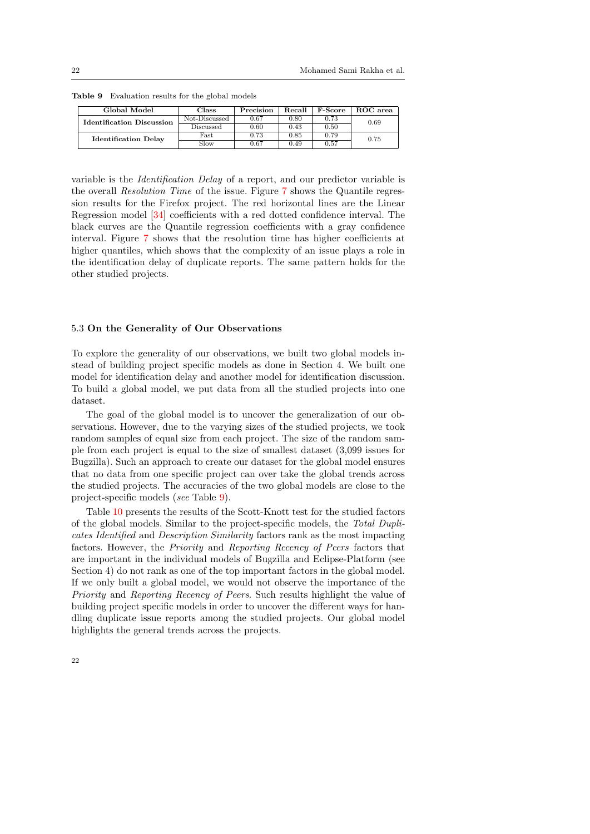<span id="page-21-0"></span>

| Global Model                     | Class         | Precision | Recall | <b>F-Score</b> | ROC area |
|----------------------------------|---------------|-----------|--------|----------------|----------|
| <b>Identification Discussion</b> | Not-Discussed | 0.67      | 0.80   | 0.73           | 0.69     |
|                                  | Discussed     | 0.60      | 0.43   | 0.50           |          |
| <b>Identification Delay</b>      | Fast          | 0.73      | 0.85   | 0.79           | 0.75     |
|                                  | Slow          | 0.67      | 0.49   | 0.57           |          |

Table 9 Evaluation results for the global models

variable is the Identification Delay of a report, and our predictor variable is the overall Resolution Time of the issue. Figure [7](#page-20-1) shows the Quantile regression results for the Firefox project. The red horizontal lines are the Linear Regression model [\[34\]](#page-26-18) coefficients with a red dotted confidence interval. The black curves are the Quantile regression coefficients with a gray confidence interval. Figure [7](#page-20-1) shows that the resolution time has higher coefficients at higher quantiles, which shows that the complexity of an issue plays a role in the identification delay of duplicate reports. The same pattern holds for the other studied projects.

### 5.3 On the Generality of Our Observations

To explore the generality of our observations, we built two global models instead of building project specific models as done in Section 4. We built one model for identification delay and another model for identification discussion. To build a global model, we put data from all the studied projects into one dataset.

The goal of the global model is to uncover the generalization of our observations. However, due to the varying sizes of the studied projects, we took random samples of equal size from each project. The size of the random sample from each project is equal to the size of smallest dataset (3,099 issues for Bugzilla). Such an approach to create our dataset for the global model ensures that no data from one specific project can over take the global trends across the studied projects. The accuracies of the two global models are close to the project-specific models (see Table [9\)](#page-21-0).

Table [10](#page-22-0) presents the results of the Scott-Knott test for the studied factors of the global models. Similar to the project-specific models, the Total Duplicates Identified and Description Similarity factors rank as the most impacting factors. However, the Priority and Reporting Recency of Peers factors that are important in the individual models of Bugzilla and Eclipse-Platform (see Section 4) do not rank as one of the top important factors in the global model. If we only built a global model, we would not observe the importance of the Priority and Reporting Recency of Peers. Such results highlight the value of building project specific models in order to uncover the different ways for handling duplicate issue reports among the studied projects. Our global model highlights the general trends across the projects.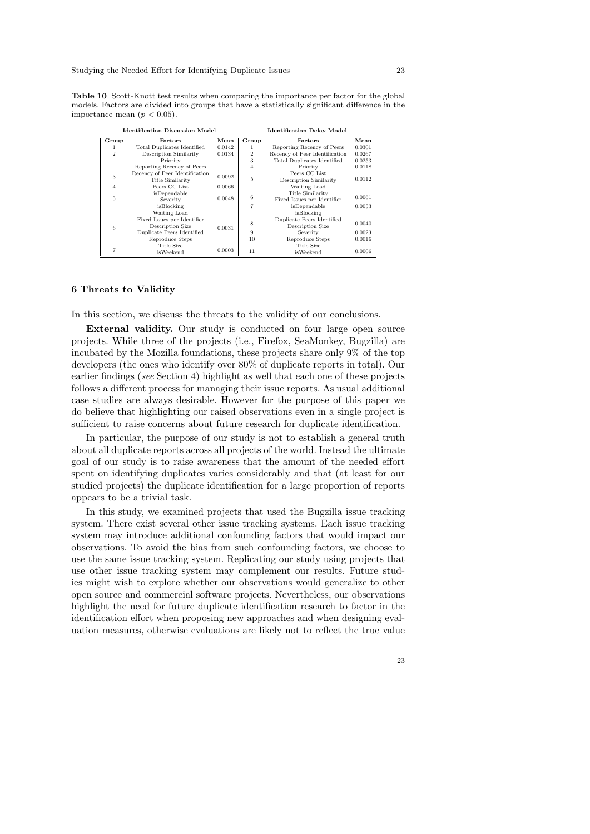Table 10 Scott-Knott test results when comparing the importance per factor for the global models. Factors are divided into groups that have a statistically significant difference in the importance mean  $(p < 0.05)$ .

<span id="page-22-0"></span>

|                | <b>Identification Discussion Model</b>             |        |                | <b>Identification Delay Model</b>               |        |
|----------------|----------------------------------------------------|--------|----------------|-------------------------------------------------|--------|
| Group          | Factors                                            | Mean   | Group          | Factors                                         | Mean   |
| 1.             | Total Duplicates Identified                        | 0.0142 |                | Reporting Recency of Peers                      | 0.0301 |
| $\overline{2}$ | Description Similarity                             | 0.0134 | $\overline{2}$ | Recency of Peer Identification                  | 0.0267 |
|                | Priority                                           |        | 3              | Total Duplicates Identified                     | 0.0253 |
|                | Reporting Recency of Peers                         |        | 4              | Priority                                        | 0.0118 |
| 3              | Recency of Peer Identification<br>Title Similarity | 0.0092 | 5              | Peers CC List<br>Description Similarity         | 0.0112 |
| 4              | Peers CC List                                      | 0.0066 |                | Waiting Load                                    |        |
| 5              | isDependable<br>Severity                           | 0.0048 | 6              | Title Similarity<br>Fixed Issues per Identifier | 0.0061 |
|                | isBlocking                                         |        | 7              | isDependable                                    | 0.0053 |
|                | Waiting Load                                       |        |                | isBlocking                                      |        |
| 6              | Fixed Issues per Identifier<br>Description Size    | 0.0031 | 8              | Duplicate Peers Identified<br>Description Size  | 0.0040 |
|                | Duplicate Peers Identified                         |        | 9              | Severity                                        | 0.0023 |
|                | Reproduce Steps<br>Title Size                      |        | 10             | Reproduce Steps<br>Title Size                   | 0.0016 |
|                | isWeekend                                          | 0.0003 | 11             | isWeekend                                       | 0.0006 |

#### 6 Threats to Validity

In this section, we discuss the threats to the validity of our conclusions.

External validity. Our study is conducted on four large open source projects. While three of the projects (i.e., Firefox, SeaMonkey, Bugzilla) are incubated by the Mozilla foundations, these projects share only 9% of the top developers (the ones who identify over 80% of duplicate reports in total). Our earlier findings (see Section 4) highlight as well that each one of these projects follows a different process for managing their issue reports. As usual additional case studies are always desirable. However for the purpose of this paper we do believe that highlighting our raised observations even in a single project is sufficient to raise concerns about future research for duplicate identification.

In particular, the purpose of our study is not to establish a general truth about all duplicate reports across all projects of the world. Instead the ultimate goal of our study is to raise awareness that the amount of the needed effort spent on identifying duplicates varies considerably and that (at least for our studied projects) the duplicate identification for a large proportion of reports appears to be a trivial task.

In this study, we examined projects that used the Bugzilla issue tracking system. There exist several other issue tracking systems. Each issue tracking system may introduce additional confounding factors that would impact our observations. To avoid the bias from such confounding factors, we choose to use the same issue tracking system. Replicating our study using projects that use other issue tracking system may complement our results. Future studies might wish to explore whether our observations would generalize to other open source and commercial software projects. Nevertheless, our observations highlight the need for future duplicate identification research to factor in the identification effort when proposing new approaches and when designing evaluation measures, otherwise evaluations are likely not to reflect the true value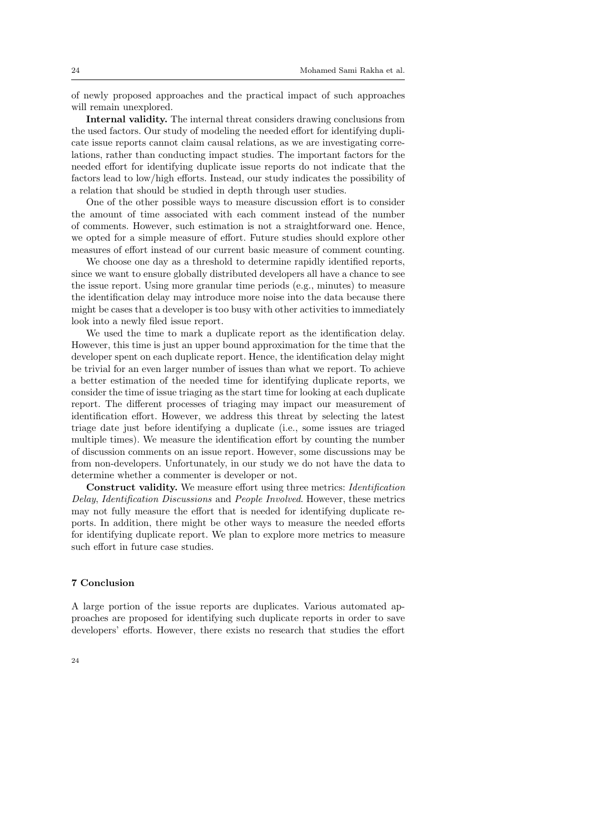of newly proposed approaches and the practical impact of such approaches will remain unexplored.

Internal validity. The internal threat considers drawing conclusions from the used factors. Our study of modeling the needed effort for identifying duplicate issue reports cannot claim causal relations, as we are investigating correlations, rather than conducting impact studies. The important factors for the needed effort for identifying duplicate issue reports do not indicate that the factors lead to low/high efforts. Instead, our study indicates the possibility of a relation that should be studied in depth through user studies.

One of the other possible ways to measure discussion effort is to consider the amount of time associated with each comment instead of the number of comments. However, such estimation is not a straightforward one. Hence, we opted for a simple measure of effort. Future studies should explore other measures of effort instead of our current basic measure of comment counting.

We choose one day as a threshold to determine rapidly identified reports, since we want to ensure globally distributed developers all have a chance to see the issue report. Using more granular time periods (e.g., minutes) to measure the identification delay may introduce more noise into the data because there might be cases that a developer is too busy with other activities to immediately look into a newly filed issue report.

We used the time to mark a duplicate report as the identification delay. However, this time is just an upper bound approximation for the time that the developer spent on each duplicate report. Hence, the identification delay might be trivial for an even larger number of issues than what we report. To achieve a better estimation of the needed time for identifying duplicate reports, we consider the time of issue triaging as the start time for looking at each duplicate report. The different processes of triaging may impact our measurement of identification effort. However, we address this threat by selecting the latest triage date just before identifying a duplicate (i.e., some issues are triaged multiple times). We measure the identification effort by counting the number of discussion comments on an issue report. However, some discussions may be from non-developers. Unfortunately, in our study we do not have the data to determine whether a commenter is developer or not.

Construct validity. We measure effort using three metrics: Identification Delay, Identification Discussions and People Involved. However, these metrics may not fully measure the effort that is needed for identifying duplicate reports. In addition, there might be other ways to measure the needed efforts for identifying duplicate report. We plan to explore more metrics to measure such effort in future case studies.

## 7 Conclusion

24

A large portion of the issue reports are duplicates. Various automated approaches are proposed for identifying such duplicate reports in order to save developers' efforts. However, there exists no research that studies the effort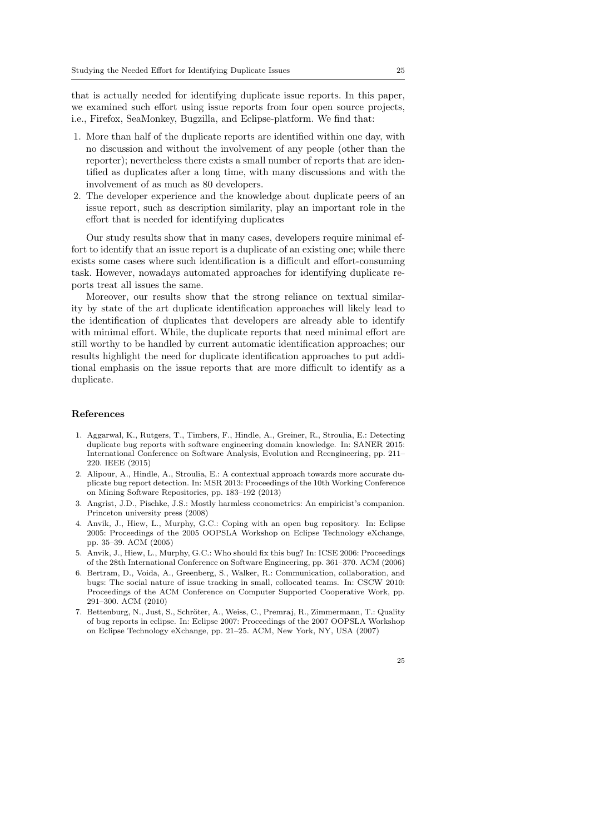that is actually needed for identifying duplicate issue reports. In this paper, we examined such effort using issue reports from four open source projects, i.e., Firefox, SeaMonkey, Bugzilla, and Eclipse-platform. We find that:

- 1. More than half of the duplicate reports are identified within one day, with no discussion and without the involvement of any people (other than the reporter); nevertheless there exists a small number of reports that are identified as duplicates after a long time, with many discussions and with the involvement of as much as 80 developers.
- 2. The developer experience and the knowledge about duplicate peers of an issue report, such as description similarity, play an important role in the effort that is needed for identifying duplicates

Our study results show that in many cases, developers require minimal effort to identify that an issue report is a duplicate of an existing one; while there exists some cases where such identification is a difficult and effort-consuming task. However, nowadays automated approaches for identifying duplicate reports treat all issues the same.

Moreover, our results show that the strong reliance on textual similarity by state of the art duplicate identification approaches will likely lead to the identification of duplicates that developers are already able to identify with minimal effort. While, the duplicate reports that need minimal effort are still worthy to be handled by current automatic identification approaches; our results highlight the need for duplicate identification approaches to put additional emphasis on the issue reports that are more difficult to identify as a duplicate.

#### References

- <span id="page-24-4"></span>1. Aggarwal, K., Rutgers, T., Timbers, F., Hindle, A., Greiner, R., Stroulia, E.: Detecting duplicate bug reports with software engineering domain knowledge. In: SANER 2015: International Conference on Software Analysis, Evolution and Reengineering, pp. 211– 220. IEEE (2015)
- <span id="page-24-1"></span>2. Alipour, A., Hindle, A., Stroulia, E.: A contextual approach towards more accurate duplicate bug report detection. In: MSR 2013: Proceedings of the 10th Working Conference on Mining Software Repositories, pp. 183–192 (2013)
- <span id="page-24-6"></span>3. Angrist, J.D., Pischke, J.S.: Mostly harmless econometrics: An empiricist's companion. Princeton university press (2008)
- <span id="page-24-2"></span>4. Anvik, J., Hiew, L., Murphy, G.C.: Coping with an open bug repository. In: Eclipse 2005: Proceedings of the 2005 OOPSLA Workshop on Eclipse Technology eXchange, pp. 35–39. ACM (2005)
- <span id="page-24-3"></span>5. Anvik, J., Hiew, L., Murphy, G.C.: Who should fix this bug? In: ICSE 2006: Proceedings of the 28th International Conference on Software Engineering, pp. 361–370. ACM (2006)
- <span id="page-24-0"></span>6. Bertram, D., Voida, A., Greenberg, S., Walker, R.: Communication, collaboration, and bugs: The social nature of issue tracking in small, collocated teams. In: CSCW 2010: Proceedings of the ACM Conference on Computer Supported Cooperative Work, pp. 291–300. ACM (2010)
- <span id="page-24-5"></span>7. Bettenburg, N., Just, S., Schröter, A., Weiss, C., Premraj, R., Zimmermann, T.: Quality of bug reports in eclipse. In: Eclipse 2007: Proceedings of the 2007 OOPSLA Workshop on Eclipse Technology eXchange, pp. 21–25. ACM, New York, NY, USA (2007)

25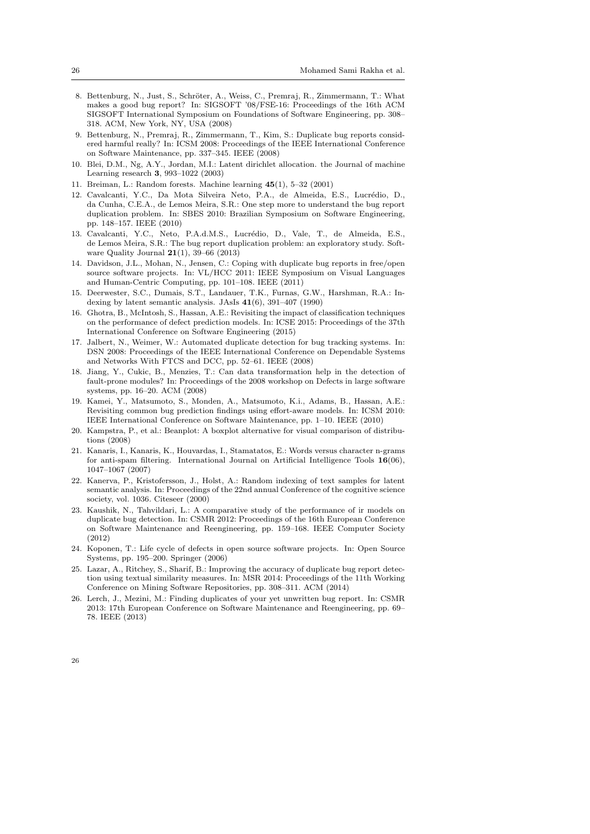- <span id="page-25-12"></span>8. Bettenburg, N., Just, S., Schröter, A., Weiss, C., Premraj, R., Zimmermann, T.: What makes a good bug report? In: SIGSOFT '08/FSE-16: Proceedings of the 16th ACM SIGSOFT International Symposium on Foundations of Software Engineering, pp. 308– 318. ACM, New York, NY, USA (2008)
- <span id="page-25-0"></span>9. Bettenburg, N., Premraj, R., Zimmermann, T., Kim, S.: Duplicate bug reports considered harmful really? In: ICSM 2008: Proceedings of the IEEE International Conference on Software Maintenance, pp. 337–345. IEEE (2008)
- <span id="page-25-8"></span>10. Blei, D.M., Ng, A.Y., Jordan, M.I.: Latent dirichlet allocation. the Journal of machine Learning research 3, 993–1022 (2003)
- <span id="page-25-14"></span>11. Breiman, L.: Random forests. Machine learning 45(1), 5–32 (2001)
- <span id="page-25-4"></span>12. Cavalcanti, Y.C., Da Mota Silveira Neto, P.A., de Almeida, E.S., Lucrédio, D., da Cunha, C.E.A., de Lemos Meira, S.R.: One step more to understand the bug report duplication problem. In: SBES 2010: Brazilian Symposium on Software Engineering, pp. 148–157. IEEE (2010)
- <span id="page-25-2"></span>13. Cavalcanti, Y.C., Neto, P.A.d.M.S., Lucrédio, D., Vale, T., de Almeida, E.S., de Lemos Meira, S.R.: The bug report duplication problem: an exploratory study. Software Quality Journal 21(1), 39–66 (2013)
- <span id="page-25-3"></span>14. Davidson, J.L., Mohan, N., Jensen, C.: Coping with duplicate bug reports in free/open source software projects. In: VL/HCC 2011: IEEE Symposium on Visual Languages and Human-Centric Computing, pp. 101–108. IEEE (2011)
- <span id="page-25-7"></span>15. Deerwester, S.C., Dumais, S.T., Landauer, T.K., Furnas, G.W., Harshman, R.A.: Indexing by latent semantic analysis. JAsIs  $41(6)$ , 391-407 (1990)
- <span id="page-25-15"></span>16. Ghotra, B., McIntosh, S., Hassan, A.E.: Revisiting the impact of classification techniques on the performance of defect prediction models. In: ICSE 2015: Proceedings of the 37th International Conference on Software Engineering (2015)
- <span id="page-25-1"></span>17. Jalbert, N., Weimer, W.: Automated duplicate detection for bug tracking systems. In: DSN 2008: Proceedings of the IEEE International Conference on Dependable Systems and Networks With FTCS and DCC, pp. 52–61. IEEE (2008)
- <span id="page-25-16"></span>18. Jiang, Y., Cukic, B., Menzies, T.: Can data transformation help in the detection of fault-prone modules? In: Proceedings of the 2008 workshop on Defects in large software systems, pp. 16–20. ACM (2008)
- <span id="page-25-17"></span>19. Kamei, Y., Matsumoto, S., Monden, A., Matsumoto, K.i., Adams, B., Hassan, A.E.: Revisiting common bug prediction findings using effort-aware models. In: ICSM 2010: IEEE International Conference on Software Maintenance, pp. 1–10. IEEE (2010)
- <span id="page-25-18"></span>20. Kampstra, P., et al.: Beanplot: A boxplot alternative for visual comparison of distributions (2008)
- <span id="page-25-5"></span>21. Kanaris, I., Kanaris, K., Houvardas, I., Stamatatos, E.: Words versus character n-grams for anti-spam filtering. International Journal on Artificial Intelligence Tools 16(06), 1047–1067 (2007)
- <span id="page-25-9"></span>22. Kanerva, P., Kristofersson, J., Holst, A.: Random indexing of text samples for latent semantic analysis. In: Proceedings of the 22nd annual Conference of the cognitive science society, vol. 1036. Citeseer (2000)
- <span id="page-25-6"></span>23. Kaushik, N., Tahvildari, L.: A comparative study of the performance of ir models on duplicate bug detection. In: CSMR 2012: Proceedings of the 16th European Conference on Software Maintenance and Reengineering, pp. 159–168. IEEE Computer Society (2012)
- <span id="page-25-13"></span>24. Koponen, T.: Life cycle of defects in open source software projects. In: Open Source Systems, pp. 195–200. Springer (2006)
- <span id="page-25-10"></span>25. Lazar, A., Ritchey, S., Sharif, B.: Improving the accuracy of duplicate bug report detection using textual similarity measures. In: MSR 2014: Proceedings of the 11th Working Conference on Mining Software Repositories, pp. 308–311. ACM (2014)
- <span id="page-25-11"></span>26. Lerch, J., Mezini, M.: Finding duplicates of your yet unwritten bug report. In: CSMR 2013: 17th European Conference on Software Maintenance and Reengineering, pp. 69– 78. IEEE (2013)